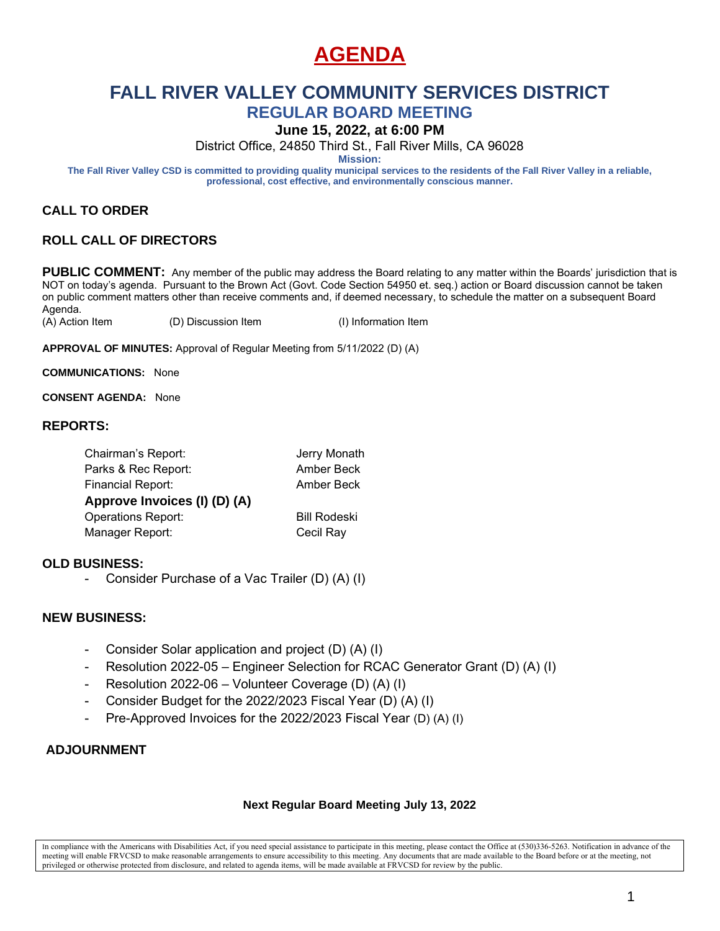# **AGENDA**

# **FALL RIVER VALLEY COMMUNITY SERVICES DISTRICT**

**REGULAR BOARD MEETING**

**June 15, 2022, at 6:00 PM**

District Office, 24850 Third St., Fall River Mills, CA 96028

**Mission:**

**The Fall River Valley CSD is committed to providing quality municipal services to the residents of the Fall River Valley in a reliable, professional, cost effective, and environmentally conscious manner.**

### **CALL TO ORDER**

### **ROLL CALL OF DIRECTORS**

PUBLIC COMMENT: Any member of the public may address the Board relating to any matter within the Boards' jurisdiction that is NOT on today's agenda. Pursuant to the Brown Act (Govt. Code Section 54950 et. seq.) action or Board discussion cannot be taken on public comment matters other than receive comments and, if deemed necessary, to schedule the matter on a subsequent Board Agenda.

(A) Action Item (D) Discussion Item (I) Information Item

**APPROVAL OF MINUTES:** Approval of Regular Meeting from 5/11/2022 (D) (A)

**COMMUNICATIONS:** None

**CONSENT AGENDA:** None

#### **REPORTS:**

| Chairman's Report:           | Jerry Monath        |
|------------------------------|---------------------|
| Parks & Rec Report:          | Amber Beck          |
| <b>Financial Report:</b>     | Amber Beck          |
| Approve Invoices (I) (D) (A) |                     |
| <b>Operations Report:</b>    | <b>Bill Rodeski</b> |
| Manager Report:              | Cecil Ray           |
|                              |                     |

#### **OLD BUSINESS:**

Consider Purchase of a Vac Trailer (D) (A) (I)

#### **NEW BUSINESS:**

- Consider Solar application and project (D) (A) (I)
- Resolution 2022-05 Engineer Selection for RCAC Generator Grant (D) (A) (I)
- Resolution 2022-06 Volunteer Coverage (D) (A) (I)
- Consider Budget for the 2022/2023 Fiscal Year (D) (A) (I)
- Pre-Approved Invoices for the 2022/2023 Fiscal Year (D) (A) (I)

### **ADJOURNMENT**

#### **Next Regular Board Meeting July 13, 2022**

In compliance with the Americans with Disabilities Act, if you need special assistance to participate in this meeting, please contact the Office at (530)336-5263. Notification in advance of the meeting will enable FRVCSD to make reasonable arrangements to ensure accessibility to this meeting. Any documents that are made available to the Board before or at the meeting, not privileged or otherwise protected from disclosure, and related to agenda items, will be made available at FRVCSD for review by the public.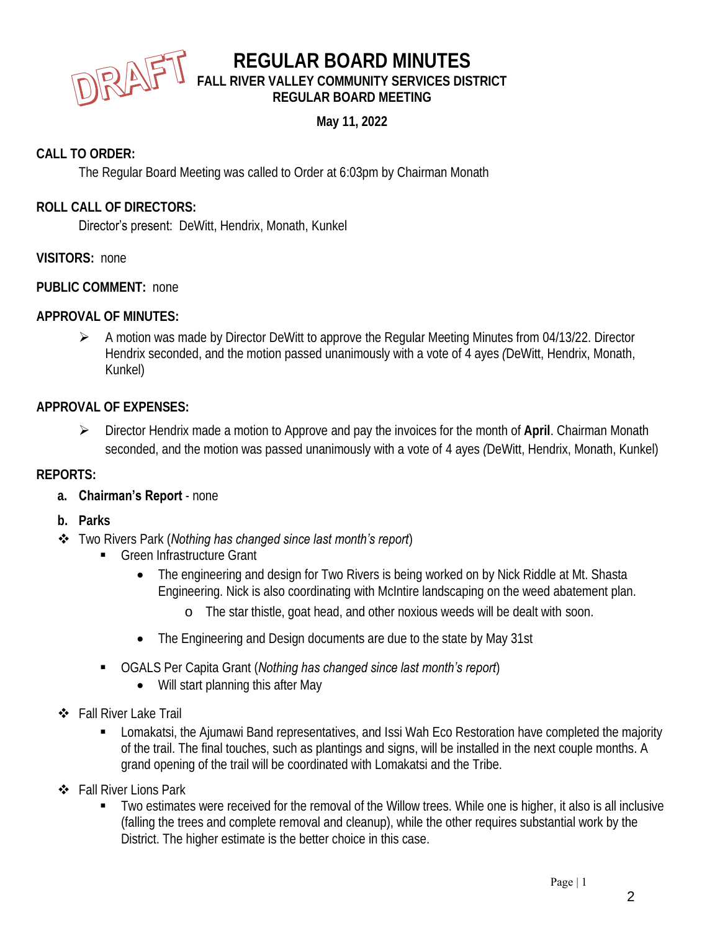

# **REGULAR BOARD MINUTES FALL RIVER VALLEY COMMUNITY SERVICES DISTRICT REGULAR BOARD MEETING**

**May 11, 2022**

### **CALL TO ORDER:**

The Regular Board Meeting was called to Order at 6:03pm by Chairman Monath

### **ROLL CALL OF DIRECTORS:**

Director's present: DeWitt, Hendrix, Monath, Kunkel

**VISITORS:** none

**PUBLIC COMMENT:** none

**APPROVAL OF MINUTES:**

➢ A motion was made by Director DeWitt to approve the Regular Meeting Minutes from 04/13/22. Director Hendrix seconded, and the motion passed unanimously with a vote of 4 ayes *(*DeWitt, Hendrix, Monath, Kunkel)

### **APPROVAL OF EXPENSES:**

➢ Director Hendrix made a motion to Approve and pay the invoices for the month of **April**. Chairman Monath seconded, and the motion was passed unanimously with a vote of 4 ayes *(*DeWitt, Hendrix, Monath, Kunkel)

### **REPORTS:**

- **a. Chairman's Report**  none
- **b. Parks**
- ❖ Two Rivers Park (*Nothing has changed since last month's report*)
	- Green Infrastructure Grant
		- The engineering and design for Two Rivers is being worked on by Nick Riddle at Mt. Shasta Engineering. Nick is also coordinating with McIntire landscaping on the weed abatement plan.
			- o The star thistle, goat head, and other noxious weeds will be dealt with soon.
		- The Engineering and Design documents are due to the state by May 31st
	- OGALS Per Capita Grant (*Nothing has changed since last month's report*)
		- Will start planning this after May
- ❖ Fall River Lake Trail
	- Lomakatsi, the Ajumawi Band representatives, and Issi Wah Eco Restoration have completed the majority of the trail. The final touches, such as plantings and signs, will be installed in the next couple months. A grand opening of the trail will be coordinated with Lomakatsi and the Tribe.
- ❖ Fall River Lions Park
	- Two estimates were received for the removal of the Willow trees. While one is higher, it also is all inclusive (falling the trees and complete removal and cleanup), while the other requires substantial work by the District. The higher estimate is the better choice in this case.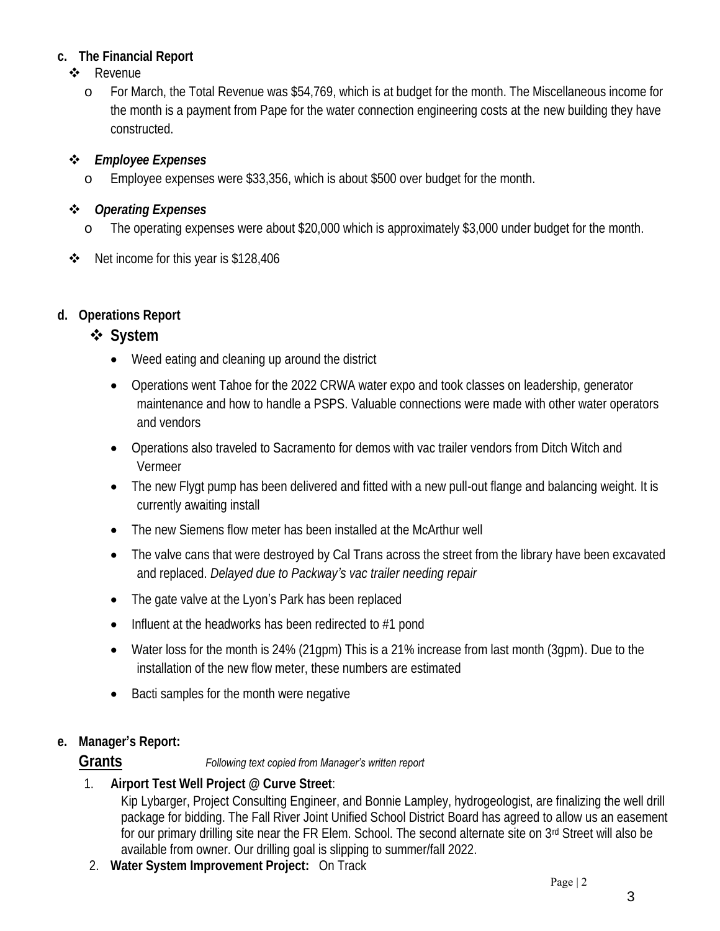- **c. The Financial Report**
	- ❖ Revenue
		- o For March, the Total Revenue was \$54,769, which is at budget for the month. The Miscellaneous income for the month is a payment from Pape for the water connection engineering costs at the new building they have constructed.
	- ❖ *Employee Expenses*
		- o Employee expenses were \$33,356, which is about \$500 over budget for the month.
	- ❖ *Operating Expenses*
		- o The operating expenses were about \$20,000 which is approximately \$3,000 under budget for the month.
	- ❖ Net income for this year is \$128,406
- **d. Operations Report**
	- ❖ **System**
		- Weed eating and cleaning up around the district
		- Operations went Tahoe for the 2022 CRWA water expo and took classes on leadership, generator maintenance and how to handle a PSPS. Valuable connections were made with other water operators and vendors
		- Operations also traveled to Sacramento for demos with vac trailer vendors from Ditch Witch and Vermeer
		- The new Flygt pump has been delivered and fitted with a new pull-out flange and balancing weight. It is currently awaiting install
		- The new Siemens flow meter has been installed at the McArthur well
		- The valve cans that were destroyed by Cal Trans across the street from the library have been excavated and replaced. *Delayed due to Packway's vac trailer needing repair*
		- The gate valve at the Lyon's Park has been replaced
		- Influent at the headworks has been redirected to #1 pond
		- Water loss for the month is 24% (21qpm) This is a 21% increase from last month (3qpm). Due to the installation of the new flow meter, these numbers are estimated
		- Bacti samples for the month were negative
- **e. Manager's Report:**

### **Grants** *Following text copied from Manager's written report*

1. **Airport Test Well Project @ Curve Street**:

Kip Lybarger, Project Consulting Engineer, and Bonnie Lampley, hydrogeologist, are finalizing the well drill package for bidding. The Fall River Joint Unified School District Board has agreed to allow us an easement for our primary drilling site near the FR Elem. School. The second alternate site on 3rd Street will also be available from owner. Our drilling goal is slipping to summer/fall 2022.

2. **Water System Improvement Project:** On Track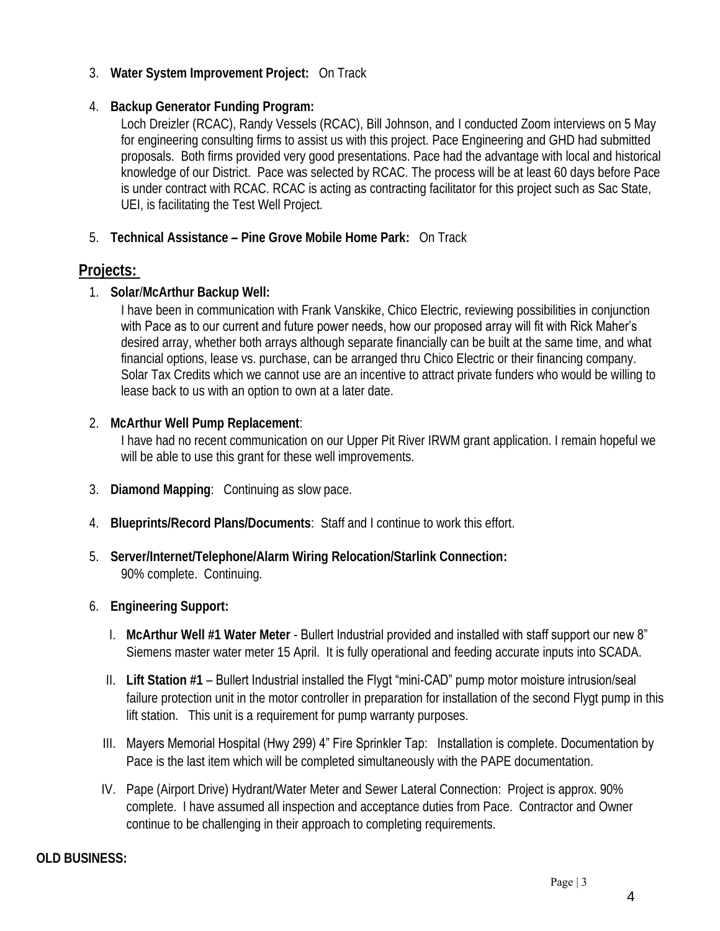- 3. **Water System Improvement Project:** On Track
- 4. **Backup Generator Funding Program:**

Loch Dreizler (RCAC), Randy Vessels (RCAC), Bill Johnson, and I conducted Zoom interviews on 5 May for engineering consulting firms to assist us with this project. Pace Engineering and GHD had submitted proposals. Both firms provided very good presentations. Pace had the advantage with local and historical knowledge of our District. Pace was selected by RCAC. The process will be at least 60 days before Pace is under contract with RCAC. RCAC is acting as contracting facilitator for this project such as Sac State, UEI, is facilitating the Test Well Project.

5. **Technical Assistance – Pine Grove Mobile Home Park:** On Track

### **Projects:**

1. **Solar**/**McArthur Backup Well:**

I have been in communication with Frank Vanskike, Chico Electric, reviewing possibilities in conjunction with Pace as to our current and future power needs, how our proposed array will fit with Rick Maher's desired array, whether both arrays although separate financially can be built at the same time, and what financial options, lease vs. purchase, can be arranged thru Chico Electric or their financing company. Solar Tax Credits which we cannot use are an incentive to attract private funders who would be willing to lease back to us with an option to own at a later date.

2. **McArthur Well Pump Replacement**:

I have had no recent communication on our Upper Pit River IRWM grant application. I remain hopeful we will be able to use this grant for these well improvements.

- 3. **Diamond Mapping**: Continuing as slow pace.
- 4. **Blueprints/Record Plans/Documents**: Staff and I continue to work this effort.
- 5. **Server/Internet/Telephone/Alarm Wiring Relocation/Starlink Connection:** 90% complete. Continuing.
- 6. **Engineering Support:**
	- I. **McArthur Well #1 Water Meter** Bullert Industrial provided and installed with staff support our new 8" Siemens master water meter 15 April. It is fully operational and feeding accurate inputs into SCADA.
	- II. **Lift Station #1** Bullert Industrial installed the Flygt "mini-CAD" pump motor moisture intrusion/seal failure protection unit in the motor controller in preparation for installation of the second Flygt pump in this lift station. This unit is a requirement for pump warranty purposes.
	- III. Mayers Memorial Hospital (Hwy 299) 4" Fire Sprinkler Tap: Installation is complete. Documentation by Pace is the last item which will be completed simultaneously with the PAPE documentation.
	- IV. Pape (Airport Drive) Hydrant/Water Meter and Sewer Lateral Connection: Project is approx. 90% complete. I have assumed all inspection and acceptance duties from Pace. Contractor and Owner continue to be challenging in their approach to completing requirements.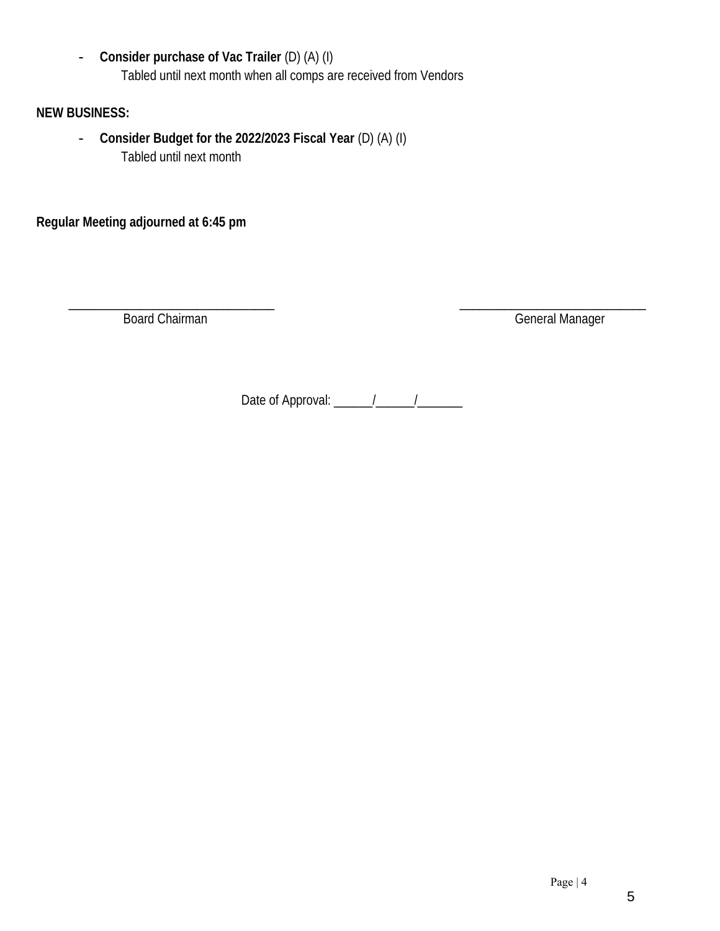- **Consider purchase of Vac Trailer** (D) (A) (I) Tabled until next month when all comps are received from Vendors

**NEW BUSINESS:**

- **Consider Budget for the 2022/2023 Fiscal Year** (D) (A) (I) Tabled until next month

**Regular Meeting adjourned at 6:45 pm** 

\_\_\_\_\_\_\_\_\_\_\_\_\_\_\_\_\_\_\_\_\_\_\_\_\_\_\_\_\_\_\_\_ \_\_\_\_\_\_\_\_\_\_\_\_\_\_\_\_\_\_\_\_\_\_\_\_\_\_\_\_\_ Board Chairman General Manager

Date of Approval: \_\_\_\_\_\_/\_\_\_\_\_\_/\_\_\_\_\_\_\_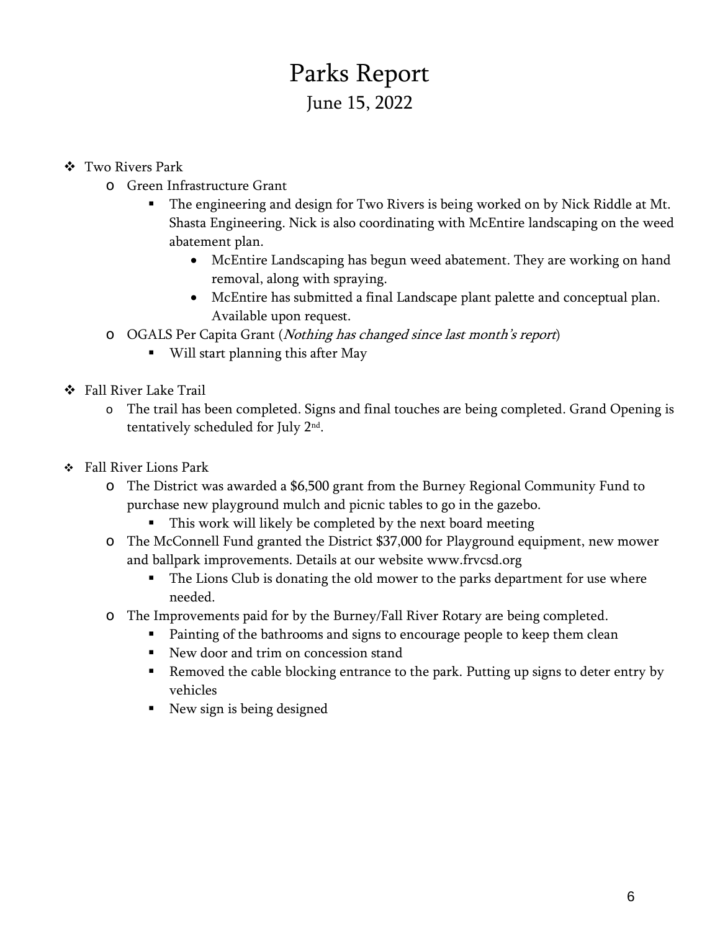# Parks Report June 15, 2022

- ❖ Two Rivers Park
	- o Green Infrastructure Grant
		- The engineering and design for Two Rivers is being worked on by Nick Riddle at Mt. Shasta Engineering. Nick is also coordinating with McEntire landscaping on the weed abatement plan.
			- McEntire Landscaping has begun weed abatement. They are working on hand removal, along with spraying.
			- McEntire has submitted a final Landscape plant palette and conceptual plan. Available upon request.
	- o OGALS Per Capita Grant (Nothing has changed since last month's report)
		- Will start planning this after May
- ❖ Fall River Lake Trail
	- o The trail has been completed. Signs and final touches are being completed. Grand Opening is tentatively scheduled for July 2nd .
- ❖ Fall River Lions Park
	- o The District was awarded a \$6,500 grant from the Burney Regional Community Fund to purchase new playground mulch and picnic tables to go in the gazebo.
		- **•** This work will likely be completed by the next board meeting
	- o The McConnell Fund granted the District \$37,000 for Playground equipment, new mower and ballpark improvements. Details at our website www.frvcsd.org
		- The Lions Club is donating the old mower to the parks department for use where needed.
	- o The Improvements paid for by the Burney/Fall River Rotary are being completed.
		- Painting of the bathrooms and signs to encourage people to keep them clean
		- New door and trim on concession stand
		- Removed the cable blocking entrance to the park. Putting up signs to deter entry by vehicles
		- New sign is being designed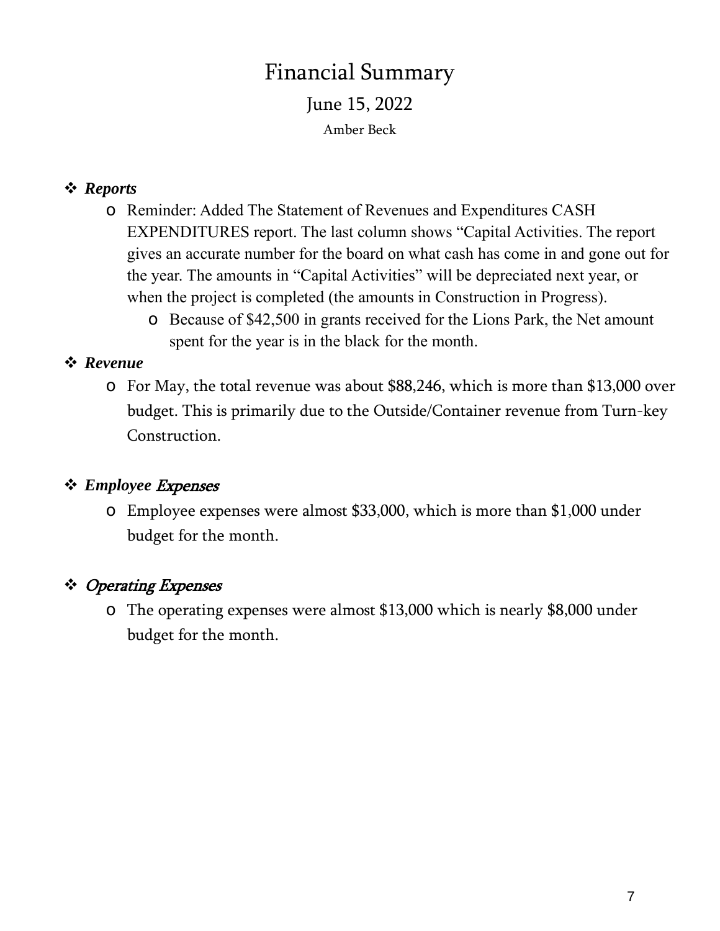# Financial Summary June 15, 2022 Amber Beck

# ❖ *Reports*

- o Reminder: Added The Statement of Revenues and Expenditures CASH EXPENDITURES report. The last column shows "Capital Activities. The report gives an accurate number for the board on what cash has come in and gone out for the year. The amounts in "Capital Activities" will be depreciated next year, or when the project is completed (the amounts in Construction in Progress).
	- o Because of \$42,500 in grants received for the Lions Park, the Net amount spent for the year is in the black for the month.

# ❖ *Revenue*

o For May, the total revenue was about \$88,246, which is more than \$13,000 over budget. This is primarily due to the Outside/Container revenue from Turn-key Construction.

### ❖ *Employee* Expenses

o Employee expenses were almost \$33,000, which is more than \$1,000 under budget for the month.

# ❖ Operating Expenses

o The operating expenses were almost \$13,000 which is nearly \$8,000 under budget for the month.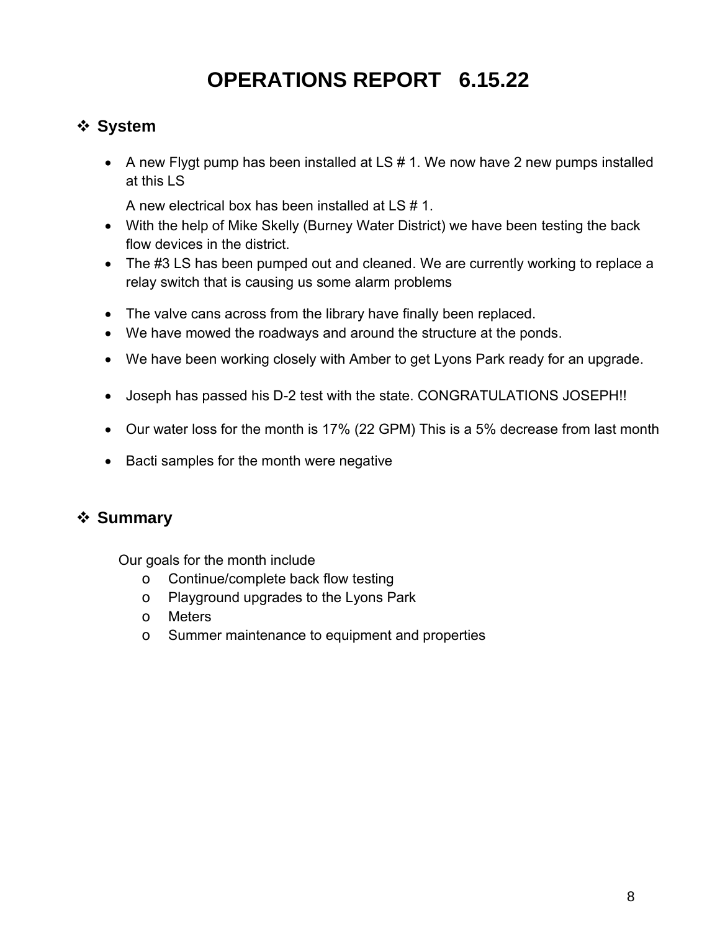# **OPERATIONS REPORT 6.15.22**

# ❖ **System**

• A new Flygt pump has been installed at LS # 1. We now have 2 new pumps installed at this LS

A new electrical box has been installed at LS # 1.

- With the help of Mike Skelly (Burney Water District) we have been testing the back flow devices in the district.
- The #3 LS has been pumped out and cleaned. We are currently working to replace a relay switch that is causing us some alarm problems
- The valve cans across from the library have finally been replaced.
- We have mowed the roadways and around the structure at the ponds.
- We have been working closely with Amber to get Lyons Park ready for an upgrade.
- Joseph has passed his D-2 test with the state. CONGRATULATIONS JOSEPH!!
- Our water loss for the month is 17% (22 GPM) This is a 5% decrease from last month
- Bacti samples for the month were negative

# ❖ **Summary**

Our goals for the month include

- o Continue/complete back flow testing
- o Playground upgrades to the Lyons Park
- o Meters
- o Summer maintenance to equipment and properties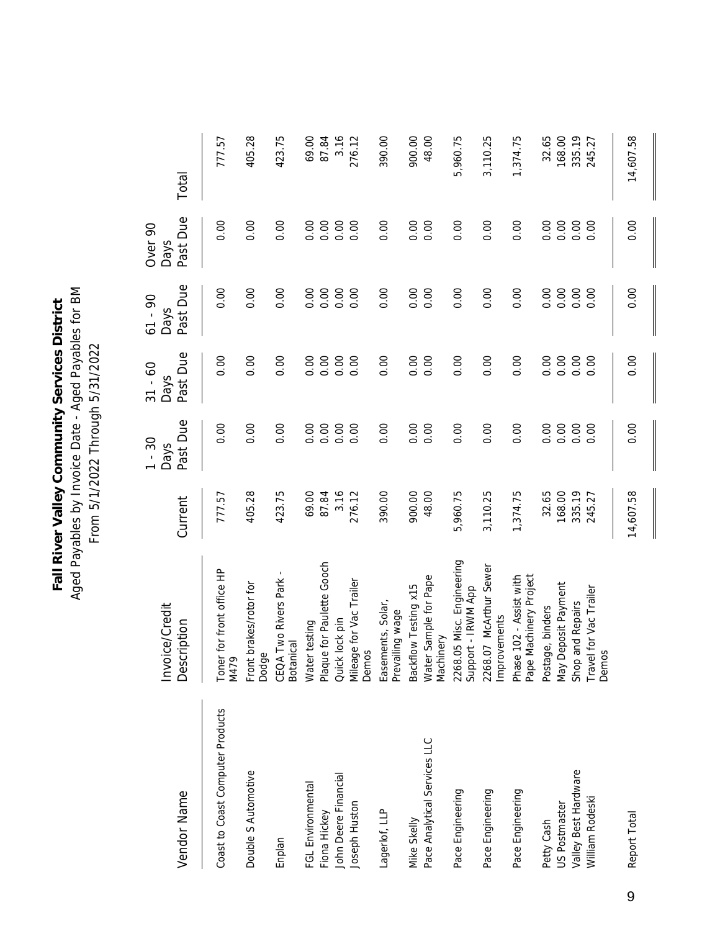Aged Payables by Invoice Date - Aged Payables for BM Aged Payables by Invoice Date - Aged Payables for BM Fall River Valley Community Services District **Fall River Valley Community Services District** From 5/1/2022 Through 5/31/2022 From 5/1/2022 Through 5/31/2022

| Vendor Name                      | Invoice/Credit<br>Description                     | Current   | Past Due<br>$1 - 30$<br>Days | Past Due<br>$31 - 60$<br>Days | Past Due<br>$61 - 90$<br><b>Days</b> | Past Due<br>Over <sub>90</sub><br>Days | Total     |
|----------------------------------|---------------------------------------------------|-----------|------------------------------|-------------------------------|--------------------------------------|----------------------------------------|-----------|
| Coast to Coast Computer Products | Toner for front office HP<br>M479                 | 777.57    | 0.00                         | 0.00                          | 0.00                                 | 0.00                                   | 777.57    |
| Double S Automotive              | brakes/rotor for<br>Dodge<br>Front                | 405.28    | 0.00                         | 0.00                          | 0.00                                 | 0.00                                   | 405.28    |
| Enplan                           | CEQA Two Rivers Park<br><b>Botanical</b>          | 423.75    | 0.00                         | 0.00                          | 0.00                                 | 0.00                                   | 423.75    |
| FGL Environmental                | Water testing                                     | 69.00     | 0.00                         | 0.00                          | 0.00                                 | 0.00                                   | 69.00     |
| Fiona Hickey                     | Plaque for Paulette Gooch                         | 87.84     | 0.00                         | 0.00                          | 0.00                                 | 0.00                                   | 87.84     |
| John Deere Financial             | Quick lock pin                                    | 3.16      | 0.00                         | 0.00                          | 0.00                                 | 0.00                                   | 3.16      |
| Joseph Huston                    | Mileage for Vac Trailer<br>Demos                  | 276.12    | 0.00                         | 0.00                          | 0.00                                 | 0.00                                   | 276.12    |
| Lagerlof, LLP                    | Easements, Solar,<br>Prevailing wage              | 390.00    | 0.00                         | 0.00                          | 0.00                                 | 0.00                                   | 390.00    |
| Mike Skelly                      | Backflow Testing x15                              | 900.00    | 0.00                         | 0.00                          | 0.00                                 | 0.00                                   | 900.00    |
| Pace Analytical Services LLC     | Water Sample for Pape<br>Machinery                | 48.00     | 0.00                         | 0.00                          | 0.00                                 | 0.00                                   | 48.00     |
| Pace Engineering                 | 2268.05 Misc. Engineering<br>Support - IRWM App   | 5,960.75  | 0.00                         | 0.00                          | 0.00                                 | 0.00                                   | 5,960.75  |
| Pace Engineering                 | 2268.07 McArthur Sewer<br>Improvements            | 3,110.25  | 0.00                         | 0.00                          | 0.00                                 | 0.00                                   | 3,110.25  |
| Pace Engineering                 | Phase 102 - Assist with<br>Pape Machinery Project | 1,374.75  | 0.00                         | 0.00                          | 0.00                                 | 0.00                                   | 1,374.75  |
| Petty Cash                       | Postage, binders                                  | 32.65     | 0.00                         | 0.00                          | 0.00                                 | 0.00                                   | 32.65     |
| US Postmaster                    | May Deposit Payment                               | 168.00    | 0.00                         | 0.00                          | 0.00                                 | 0.00                                   | 168.00    |
| Valley Best Hardware             | Shop and Repairs                                  | 335.19    | 0.00                         | 0.00                          | 0.00                                 | 0.00                                   | 335.19    |
| William Rodeski                  | Travel for Vac Trailer<br>Demos                   | 245.27    | 0.00                         | 0.00                          | 0.00                                 | 0.00                                   | 245.27    |
| Report Total                     |                                                   | 14,607.58 | 0.00                         | 0.00                          | 0.00                                 | 0.00                                   | 14,607.58 |

9

 $\mathbf \mathbf I$ 

 $\blacksquare$ 

 $\blacksquare$ 

II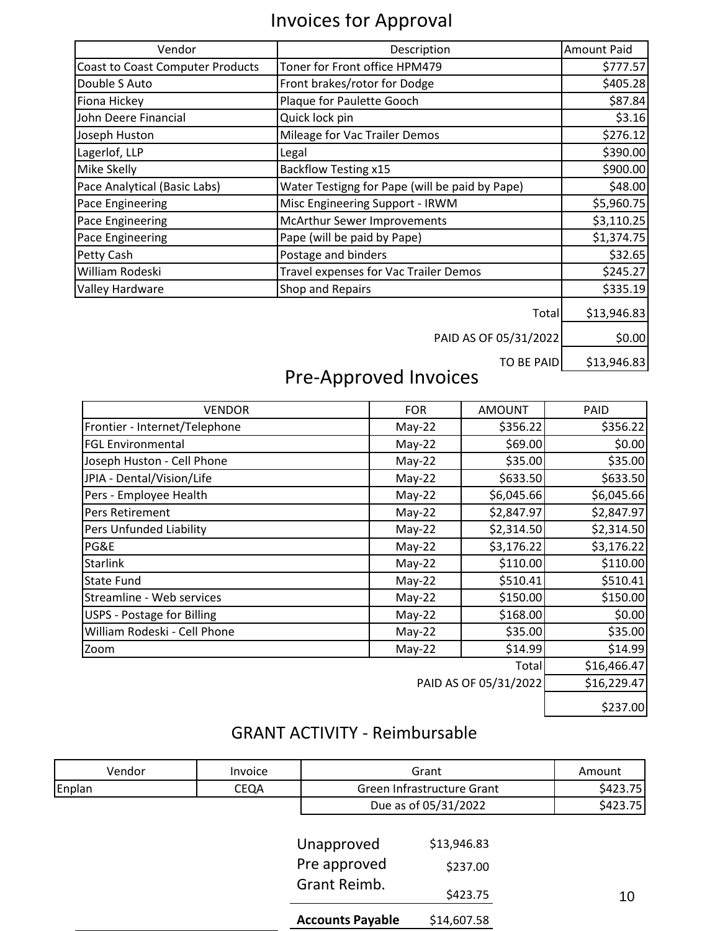# Invoices for Approval

| Vendor                                  | Description                                    | <b>Amount Paid</b> |
|-----------------------------------------|------------------------------------------------|--------------------|
| <b>Coast to Coast Computer Products</b> | Toner for Front office HPM479                  | \$777.57           |
| Double S Auto                           | Front brakes/rotor for Dodge                   | \$405.28           |
| Fiona Hickey                            | Plaque for Paulette Gooch                      | \$87.84            |
| John Deere Financial                    | Quick lock pin                                 | \$3.16             |
| Joseph Huston                           | Mileage for Vac Trailer Demos                  | \$276.12           |
| Lagerlof, LLP                           | Legal                                          | \$390.00           |
| Mike Skelly                             | <b>Backflow Testing x15</b>                    | \$900.00           |
| Pace Analytical (Basic Labs)            | Water Testigng for Pape (will be paid by Pape) | \$48.00            |
| Pace Engineering                        | Misc Engineering Support - IRWM                | \$5,960.75         |
| Pace Engineering                        | McArthur Sewer Improvements                    | \$3,110.25         |
| Pace Engineering                        | Pape (will be paid by Pape)                    | \$1,374.75         |
| Petty Cash                              | Postage and binders                            | \$32.65            |
| William Rodeski                         | Travel expenses for Vac Trailer Demos          | \$245.27           |
| Valley Hardware                         | Shop and Repairs                               | \$335.19           |
|                                         | Total                                          | \$13,946.83        |
|                                         | PAID AS OF 05/31/2022                          | \$0.00             |

TO BE PAID  $\Big|$  \$13,946.83

# Pre-Approved Invoices

| <b>VENDOR</b>                 | <b>FOR</b> | <b>AMOUNT</b>         | <b>PAID</b> |
|-------------------------------|------------|-----------------------|-------------|
| Frontier - Internet/Telephone | $May-22$   | \$356.22              | \$356.22    |
| <b>FGL Environmental</b>      | $May-22$   | \$69.00               | \$0.00      |
| Joseph Huston - Cell Phone    | $May-22$   | \$35.00               | \$35.00     |
| JPIA - Dental/Vision/Life     | $May-22$   | \$633.50              | \$633.50    |
| Pers - Employee Health        | $May-22$   | \$6,045.66            | \$6,045.66  |
| Pers Retirement               | $May-22$   | \$2,847.97            | \$2,847.97  |
| Pers Unfunded Liability       | $May-22$   | \$2,314.50            | \$2,314.50  |
| PG&E                          | $May-22$   | \$3,176.22            | \$3,176.22  |
| <b>Starlink</b>               | $May-22$   | \$110.00              | \$110.00    |
| <b>State Fund</b>             | $May-22$   | \$510.41              | \$510.41    |
| Streamline - Web services     | $May-22$   | \$150.00              | \$150.00    |
| USPS - Postage for Billing    | $May-22$   | \$168.00              | \$0.00      |
| William Rodeski - Cell Phone  | $May-22$   | \$35.00               | \$35.00     |
| Zoom                          | $May-22$   | \$14.99               | \$14.99     |
|                               |            | Total                 | \$16,466.47 |
|                               |            | PAID AS OF 05/31/2022 | \$16,229.47 |
|                               |            |                       | \$237.00    |

# GRANT ACTIVITY - Reimbursable

| Vendor | Invoice |                           | Grant                      | Amount   |
|--------|---------|---------------------------|----------------------------|----------|
| Enplan | CEQA    |                           | Green Infrastructure Grant | \$423.75 |
|        |         |                           | Due as of 05/31/2022       | \$423.75 |
|        |         |                           |                            |          |
|        |         | \$13,946.83<br>Unapproved |                            |          |
|        |         | Pre approved              | \$237.00                   |          |
|        |         | Grant Reimb.              | \$423.75                   | 10       |
|        |         | <b>Accounts Payable</b>   | \$14,607.58                |          |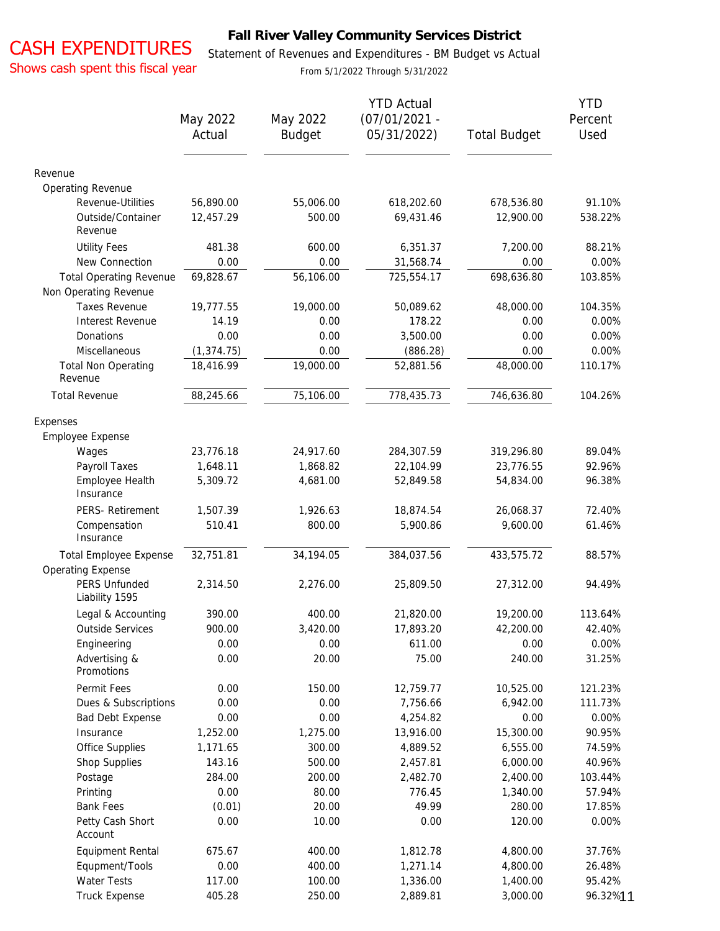# CASH EXPENDITURES

### **Fall River Valley Community Services District**

Shows cash spent this fiscal year

Statement of Revenues and Expenditures - BM Budget vs Actual

From 5/1/2022 Through 5/31/2022

| $(07/01/2021 -$<br>May 2022<br>May 2022<br>Percent<br><b>Budget</b><br>05/31/2022)<br>Used<br>Actual<br><b>Total Budget</b><br>Revenue<br>Operating Revenue<br>Revenue-Utilities<br>56,890.00<br>55,006.00<br>618,202.60<br>678,536.80<br>91.10%<br>Outside/Container<br>12,457.29<br>500.00<br>69,431.46<br>12,900.00<br>538.22%<br>Revenue<br><b>Utility Fees</b><br>481.38<br>600.00<br>6,351.37<br>7,200.00<br>88.21%<br>0.00%<br>New Connection<br>0.00<br>0.00<br>31,568.74<br>0.00<br>69,828.67<br>725,554.17<br>698,636.80<br><b>Total Operating Revenue</b><br>56,106.00<br>103.85%<br>Non Operating Revenue<br><b>Taxes Revenue</b><br>19,000.00<br>104.35%<br>19,777.55<br>50,089.62<br>48,000.00<br>178.22<br>Interest Revenue<br>14.19<br>0.00<br>0.00<br>0.00%<br>0.00<br>3,500.00<br>Donations<br>0.00<br>0.00<br>0.00%<br>Miscellaneous<br>(1, 374.75)<br>0.00<br>(886.28)<br>0.00<br>0.00%<br>18,416.99<br>19,000.00<br>48,000.00<br><b>Total Non Operating</b><br>52,881.56<br>110.17%<br>Revenue<br><b>Total Revenue</b><br>88,245.66<br>75,106.00<br>778,435.73<br>746,636.80<br>104.26%<br>Expenses<br>Employee Expense<br>Wages<br>23,776.18<br>24,917.60<br>284,307.59<br>319,296.80<br>89.04%<br>Payroll Taxes<br>92.96%<br>1,648.11<br>1,868.82<br>22,104.99<br>23,776.55<br>Employee Health<br>5,309.72<br>4,681.00<br>52,849.58<br>54,834.00<br>96.38%<br>Insurance<br>PERS- Retirement<br>72.40%<br>1,507.39<br>1,926.63<br>18,874.54<br>26,068.37<br>9,600.00<br>Compensation<br>510.41<br>800.00<br>5,900.86<br>61.46%<br>Insurance<br><b>Total Employee Expense</b><br>32,751.81<br>34,194.05<br>384,037.56<br>433,575.72<br>88.57%<br><b>Operating Expense</b><br><b>PERS Unfunded</b><br>2,314.50<br>2,276.00<br>25,809.50<br>27,312.00<br>94.49%<br>Liability 1595<br>Legal & Accounting<br>390.00<br>400.00<br>21,820.00<br>19,200.00<br>113.64%<br><b>Outside Services</b><br>900.00<br>3,420.00<br>17,893.20<br>42,200.00<br>42.40%<br>0.00<br>0.00%<br>0.00<br>0.00<br>611.00<br>Engineering<br>0.00<br>20.00<br>240.00<br>Advertising &<br>75.00<br>31.25%<br>Promotions<br>Permit Fees<br>150.00<br>0.00<br>12,759.77<br>10,525.00<br>121.23%<br>Dues & Subscriptions<br>0.00<br>0.00<br>7,756.66<br>6,942.00<br>111.73%<br>0.00<br>0.00<br><b>Bad Debt Expense</b><br>0.00<br>4,254.82<br>0.00%<br>1,252.00<br>1,275.00<br>Insurance<br>13,916.00<br>15,300.00<br>90.95%<br>Office Supplies<br>1,171.65<br>300.00<br>4,889.52<br>6,555.00<br>74.59%<br>Shop Supplies<br>143.16<br>500.00<br>2,457.81<br>6,000.00<br>40.96%<br>200.00<br>Postage<br>284.00<br>2,482.70<br>2,400.00<br>103.44%<br>0.00<br>80.00<br>Printing<br>776.45<br>1,340.00<br>57.94%<br><b>Bank Fees</b><br>(0.01)<br>20.00<br>49.99<br>280.00<br>17.85%<br>Petty Cash Short<br>0.00<br>10.00<br>0.00<br>120.00<br>0.00%<br>Account<br>400.00<br>675.67<br>1,812.78<br>4,800.00<br>37.76%<br>Equipment Rental<br>Equpment/Tools<br>0.00<br>400.00<br>1,271.14<br>4,800.00<br>26.48%<br>Water Tests<br>117.00<br>95.42%<br>100.00<br>1,336.00<br>1,400.00<br><b>Truck Expense</b><br>405.28<br>250.00<br>2,889.81<br>3,000.00<br>96.32%11 |  | <b>YTD Actual</b> | <b>YTD</b> |
|--------------------------------------------------------------------------------------------------------------------------------------------------------------------------------------------------------------------------------------------------------------------------------------------------------------------------------------------------------------------------------------------------------------------------------------------------------------------------------------------------------------------------------------------------------------------------------------------------------------------------------------------------------------------------------------------------------------------------------------------------------------------------------------------------------------------------------------------------------------------------------------------------------------------------------------------------------------------------------------------------------------------------------------------------------------------------------------------------------------------------------------------------------------------------------------------------------------------------------------------------------------------------------------------------------------------------------------------------------------------------------------------------------------------------------------------------------------------------------------------------------------------------------------------------------------------------------------------------------------------------------------------------------------------------------------------------------------------------------------------------------------------------------------------------------------------------------------------------------------------------------------------------------------------------------------------------------------------------------------------------------------------------------------------------------------------------------------------------------------------------------------------------------------------------------------------------------------------------------------------------------------------------------------------------------------------------------------------------------------------------------------------------------------------------------------------------------------------------------------------------------------------------------------------------------------------------------------------------------------------------------------------------------------------------------------------------------------------------------------------------------------------------------------------------------------------------------------------------------------------------------------------------------------------------------------------------------------------------------------------------------------------------------------------------------------------------------------------------------------------------------------------------------|--|-------------------|------------|
|                                                                                                                                                                                                                                                                                                                                                                                                                                                                                                                                                                                                                                                                                                                                                                                                                                                                                                                                                                                                                                                                                                                                                                                                                                                                                                                                                                                                                                                                                                                                                                                                                                                                                                                                                                                                                                                                                                                                                                                                                                                                                                                                                                                                                                                                                                                                                                                                                                                                                                                                                                                                                                                                                                                                                                                                                                                                                                                                                                                                                                                                                                                                                        |  |                   |            |
|                                                                                                                                                                                                                                                                                                                                                                                                                                                                                                                                                                                                                                                                                                                                                                                                                                                                                                                                                                                                                                                                                                                                                                                                                                                                                                                                                                                                                                                                                                                                                                                                                                                                                                                                                                                                                                                                                                                                                                                                                                                                                                                                                                                                                                                                                                                                                                                                                                                                                                                                                                                                                                                                                                                                                                                                                                                                                                                                                                                                                                                                                                                                                        |  |                   |            |
|                                                                                                                                                                                                                                                                                                                                                                                                                                                                                                                                                                                                                                                                                                                                                                                                                                                                                                                                                                                                                                                                                                                                                                                                                                                                                                                                                                                                                                                                                                                                                                                                                                                                                                                                                                                                                                                                                                                                                                                                                                                                                                                                                                                                                                                                                                                                                                                                                                                                                                                                                                                                                                                                                                                                                                                                                                                                                                                                                                                                                                                                                                                                                        |  |                   |            |
|                                                                                                                                                                                                                                                                                                                                                                                                                                                                                                                                                                                                                                                                                                                                                                                                                                                                                                                                                                                                                                                                                                                                                                                                                                                                                                                                                                                                                                                                                                                                                                                                                                                                                                                                                                                                                                                                                                                                                                                                                                                                                                                                                                                                                                                                                                                                                                                                                                                                                                                                                                                                                                                                                                                                                                                                                                                                                                                                                                                                                                                                                                                                                        |  |                   |            |
|                                                                                                                                                                                                                                                                                                                                                                                                                                                                                                                                                                                                                                                                                                                                                                                                                                                                                                                                                                                                                                                                                                                                                                                                                                                                                                                                                                                                                                                                                                                                                                                                                                                                                                                                                                                                                                                                                                                                                                                                                                                                                                                                                                                                                                                                                                                                                                                                                                                                                                                                                                                                                                                                                                                                                                                                                                                                                                                                                                                                                                                                                                                                                        |  |                   |            |
|                                                                                                                                                                                                                                                                                                                                                                                                                                                                                                                                                                                                                                                                                                                                                                                                                                                                                                                                                                                                                                                                                                                                                                                                                                                                                                                                                                                                                                                                                                                                                                                                                                                                                                                                                                                                                                                                                                                                                                                                                                                                                                                                                                                                                                                                                                                                                                                                                                                                                                                                                                                                                                                                                                                                                                                                                                                                                                                                                                                                                                                                                                                                                        |  |                   |            |
|                                                                                                                                                                                                                                                                                                                                                                                                                                                                                                                                                                                                                                                                                                                                                                                                                                                                                                                                                                                                                                                                                                                                                                                                                                                                                                                                                                                                                                                                                                                                                                                                                                                                                                                                                                                                                                                                                                                                                                                                                                                                                                                                                                                                                                                                                                                                                                                                                                                                                                                                                                                                                                                                                                                                                                                                                                                                                                                                                                                                                                                                                                                                                        |  |                   |            |
|                                                                                                                                                                                                                                                                                                                                                                                                                                                                                                                                                                                                                                                                                                                                                                                                                                                                                                                                                                                                                                                                                                                                                                                                                                                                                                                                                                                                                                                                                                                                                                                                                                                                                                                                                                                                                                                                                                                                                                                                                                                                                                                                                                                                                                                                                                                                                                                                                                                                                                                                                                                                                                                                                                                                                                                                                                                                                                                                                                                                                                                                                                                                                        |  |                   |            |
|                                                                                                                                                                                                                                                                                                                                                                                                                                                                                                                                                                                                                                                                                                                                                                                                                                                                                                                                                                                                                                                                                                                                                                                                                                                                                                                                                                                                                                                                                                                                                                                                                                                                                                                                                                                                                                                                                                                                                                                                                                                                                                                                                                                                                                                                                                                                                                                                                                                                                                                                                                                                                                                                                                                                                                                                                                                                                                                                                                                                                                                                                                                                                        |  |                   |            |
|                                                                                                                                                                                                                                                                                                                                                                                                                                                                                                                                                                                                                                                                                                                                                                                                                                                                                                                                                                                                                                                                                                                                                                                                                                                                                                                                                                                                                                                                                                                                                                                                                                                                                                                                                                                                                                                                                                                                                                                                                                                                                                                                                                                                                                                                                                                                                                                                                                                                                                                                                                                                                                                                                                                                                                                                                                                                                                                                                                                                                                                                                                                                                        |  |                   |            |
|                                                                                                                                                                                                                                                                                                                                                                                                                                                                                                                                                                                                                                                                                                                                                                                                                                                                                                                                                                                                                                                                                                                                                                                                                                                                                                                                                                                                                                                                                                                                                                                                                                                                                                                                                                                                                                                                                                                                                                                                                                                                                                                                                                                                                                                                                                                                                                                                                                                                                                                                                                                                                                                                                                                                                                                                                                                                                                                                                                                                                                                                                                                                                        |  |                   |            |
|                                                                                                                                                                                                                                                                                                                                                                                                                                                                                                                                                                                                                                                                                                                                                                                                                                                                                                                                                                                                                                                                                                                                                                                                                                                                                                                                                                                                                                                                                                                                                                                                                                                                                                                                                                                                                                                                                                                                                                                                                                                                                                                                                                                                                                                                                                                                                                                                                                                                                                                                                                                                                                                                                                                                                                                                                                                                                                                                                                                                                                                                                                                                                        |  |                   |            |
|                                                                                                                                                                                                                                                                                                                                                                                                                                                                                                                                                                                                                                                                                                                                                                                                                                                                                                                                                                                                                                                                                                                                                                                                                                                                                                                                                                                                                                                                                                                                                                                                                                                                                                                                                                                                                                                                                                                                                                                                                                                                                                                                                                                                                                                                                                                                                                                                                                                                                                                                                                                                                                                                                                                                                                                                                                                                                                                                                                                                                                                                                                                                                        |  |                   |            |
|                                                                                                                                                                                                                                                                                                                                                                                                                                                                                                                                                                                                                                                                                                                                                                                                                                                                                                                                                                                                                                                                                                                                                                                                                                                                                                                                                                                                                                                                                                                                                                                                                                                                                                                                                                                                                                                                                                                                                                                                                                                                                                                                                                                                                                                                                                                                                                                                                                                                                                                                                                                                                                                                                                                                                                                                                                                                                                                                                                                                                                                                                                                                                        |  |                   |            |
|                                                                                                                                                                                                                                                                                                                                                                                                                                                                                                                                                                                                                                                                                                                                                                                                                                                                                                                                                                                                                                                                                                                                                                                                                                                                                                                                                                                                                                                                                                                                                                                                                                                                                                                                                                                                                                                                                                                                                                                                                                                                                                                                                                                                                                                                                                                                                                                                                                                                                                                                                                                                                                                                                                                                                                                                                                                                                                                                                                                                                                                                                                                                                        |  |                   |            |
|                                                                                                                                                                                                                                                                                                                                                                                                                                                                                                                                                                                                                                                                                                                                                                                                                                                                                                                                                                                                                                                                                                                                                                                                                                                                                                                                                                                                                                                                                                                                                                                                                                                                                                                                                                                                                                                                                                                                                                                                                                                                                                                                                                                                                                                                                                                                                                                                                                                                                                                                                                                                                                                                                                                                                                                                                                                                                                                                                                                                                                                                                                                                                        |  |                   |            |
|                                                                                                                                                                                                                                                                                                                                                                                                                                                                                                                                                                                                                                                                                                                                                                                                                                                                                                                                                                                                                                                                                                                                                                                                                                                                                                                                                                                                                                                                                                                                                                                                                                                                                                                                                                                                                                                                                                                                                                                                                                                                                                                                                                                                                                                                                                                                                                                                                                                                                                                                                                                                                                                                                                                                                                                                                                                                                                                                                                                                                                                                                                                                                        |  |                   |            |
|                                                                                                                                                                                                                                                                                                                                                                                                                                                                                                                                                                                                                                                                                                                                                                                                                                                                                                                                                                                                                                                                                                                                                                                                                                                                                                                                                                                                                                                                                                                                                                                                                                                                                                                                                                                                                                                                                                                                                                                                                                                                                                                                                                                                                                                                                                                                                                                                                                                                                                                                                                                                                                                                                                                                                                                                                                                                                                                                                                                                                                                                                                                                                        |  |                   |            |
|                                                                                                                                                                                                                                                                                                                                                                                                                                                                                                                                                                                                                                                                                                                                                                                                                                                                                                                                                                                                                                                                                                                                                                                                                                                                                                                                                                                                                                                                                                                                                                                                                                                                                                                                                                                                                                                                                                                                                                                                                                                                                                                                                                                                                                                                                                                                                                                                                                                                                                                                                                                                                                                                                                                                                                                                                                                                                                                                                                                                                                                                                                                                                        |  |                   |            |
|                                                                                                                                                                                                                                                                                                                                                                                                                                                                                                                                                                                                                                                                                                                                                                                                                                                                                                                                                                                                                                                                                                                                                                                                                                                                                                                                                                                                                                                                                                                                                                                                                                                                                                                                                                                                                                                                                                                                                                                                                                                                                                                                                                                                                                                                                                                                                                                                                                                                                                                                                                                                                                                                                                                                                                                                                                                                                                                                                                                                                                                                                                                                                        |  |                   |            |
|                                                                                                                                                                                                                                                                                                                                                                                                                                                                                                                                                                                                                                                                                                                                                                                                                                                                                                                                                                                                                                                                                                                                                                                                                                                                                                                                                                                                                                                                                                                                                                                                                                                                                                                                                                                                                                                                                                                                                                                                                                                                                                                                                                                                                                                                                                                                                                                                                                                                                                                                                                                                                                                                                                                                                                                                                                                                                                                                                                                                                                                                                                                                                        |  |                   |            |
|                                                                                                                                                                                                                                                                                                                                                                                                                                                                                                                                                                                                                                                                                                                                                                                                                                                                                                                                                                                                                                                                                                                                                                                                                                                                                                                                                                                                                                                                                                                                                                                                                                                                                                                                                                                                                                                                                                                                                                                                                                                                                                                                                                                                                                                                                                                                                                                                                                                                                                                                                                                                                                                                                                                                                                                                                                                                                                                                                                                                                                                                                                                                                        |  |                   |            |
|                                                                                                                                                                                                                                                                                                                                                                                                                                                                                                                                                                                                                                                                                                                                                                                                                                                                                                                                                                                                                                                                                                                                                                                                                                                                                                                                                                                                                                                                                                                                                                                                                                                                                                                                                                                                                                                                                                                                                                                                                                                                                                                                                                                                                                                                                                                                                                                                                                                                                                                                                                                                                                                                                                                                                                                                                                                                                                                                                                                                                                                                                                                                                        |  |                   |            |
|                                                                                                                                                                                                                                                                                                                                                                                                                                                                                                                                                                                                                                                                                                                                                                                                                                                                                                                                                                                                                                                                                                                                                                                                                                                                                                                                                                                                                                                                                                                                                                                                                                                                                                                                                                                                                                                                                                                                                                                                                                                                                                                                                                                                                                                                                                                                                                                                                                                                                                                                                                                                                                                                                                                                                                                                                                                                                                                                                                                                                                                                                                                                                        |  |                   |            |
|                                                                                                                                                                                                                                                                                                                                                                                                                                                                                                                                                                                                                                                                                                                                                                                                                                                                                                                                                                                                                                                                                                                                                                                                                                                                                                                                                                                                                                                                                                                                                                                                                                                                                                                                                                                                                                                                                                                                                                                                                                                                                                                                                                                                                                                                                                                                                                                                                                                                                                                                                                                                                                                                                                                                                                                                                                                                                                                                                                                                                                                                                                                                                        |  |                   |            |
|                                                                                                                                                                                                                                                                                                                                                                                                                                                                                                                                                                                                                                                                                                                                                                                                                                                                                                                                                                                                                                                                                                                                                                                                                                                                                                                                                                                                                                                                                                                                                                                                                                                                                                                                                                                                                                                                                                                                                                                                                                                                                                                                                                                                                                                                                                                                                                                                                                                                                                                                                                                                                                                                                                                                                                                                                                                                                                                                                                                                                                                                                                                                                        |  |                   |            |
|                                                                                                                                                                                                                                                                                                                                                                                                                                                                                                                                                                                                                                                                                                                                                                                                                                                                                                                                                                                                                                                                                                                                                                                                                                                                                                                                                                                                                                                                                                                                                                                                                                                                                                                                                                                                                                                                                                                                                                                                                                                                                                                                                                                                                                                                                                                                                                                                                                                                                                                                                                                                                                                                                                                                                                                                                                                                                                                                                                                                                                                                                                                                                        |  |                   |            |
|                                                                                                                                                                                                                                                                                                                                                                                                                                                                                                                                                                                                                                                                                                                                                                                                                                                                                                                                                                                                                                                                                                                                                                                                                                                                                                                                                                                                                                                                                                                                                                                                                                                                                                                                                                                                                                                                                                                                                                                                                                                                                                                                                                                                                                                                                                                                                                                                                                                                                                                                                                                                                                                                                                                                                                                                                                                                                                                                                                                                                                                                                                                                                        |  |                   |            |
|                                                                                                                                                                                                                                                                                                                                                                                                                                                                                                                                                                                                                                                                                                                                                                                                                                                                                                                                                                                                                                                                                                                                                                                                                                                                                                                                                                                                                                                                                                                                                                                                                                                                                                                                                                                                                                                                                                                                                                                                                                                                                                                                                                                                                                                                                                                                                                                                                                                                                                                                                                                                                                                                                                                                                                                                                                                                                                                                                                                                                                                                                                                                                        |  |                   |            |
|                                                                                                                                                                                                                                                                                                                                                                                                                                                                                                                                                                                                                                                                                                                                                                                                                                                                                                                                                                                                                                                                                                                                                                                                                                                                                                                                                                                                                                                                                                                                                                                                                                                                                                                                                                                                                                                                                                                                                                                                                                                                                                                                                                                                                                                                                                                                                                                                                                                                                                                                                                                                                                                                                                                                                                                                                                                                                                                                                                                                                                                                                                                                                        |  |                   |            |
|                                                                                                                                                                                                                                                                                                                                                                                                                                                                                                                                                                                                                                                                                                                                                                                                                                                                                                                                                                                                                                                                                                                                                                                                                                                                                                                                                                                                                                                                                                                                                                                                                                                                                                                                                                                                                                                                                                                                                                                                                                                                                                                                                                                                                                                                                                                                                                                                                                                                                                                                                                                                                                                                                                                                                                                                                                                                                                                                                                                                                                                                                                                                                        |  |                   |            |
|                                                                                                                                                                                                                                                                                                                                                                                                                                                                                                                                                                                                                                                                                                                                                                                                                                                                                                                                                                                                                                                                                                                                                                                                                                                                                                                                                                                                                                                                                                                                                                                                                                                                                                                                                                                                                                                                                                                                                                                                                                                                                                                                                                                                                                                                                                                                                                                                                                                                                                                                                                                                                                                                                                                                                                                                                                                                                                                                                                                                                                                                                                                                                        |  |                   |            |
|                                                                                                                                                                                                                                                                                                                                                                                                                                                                                                                                                                                                                                                                                                                                                                                                                                                                                                                                                                                                                                                                                                                                                                                                                                                                                                                                                                                                                                                                                                                                                                                                                                                                                                                                                                                                                                                                                                                                                                                                                                                                                                                                                                                                                                                                                                                                                                                                                                                                                                                                                                                                                                                                                                                                                                                                                                                                                                                                                                                                                                                                                                                                                        |  |                   |            |
|                                                                                                                                                                                                                                                                                                                                                                                                                                                                                                                                                                                                                                                                                                                                                                                                                                                                                                                                                                                                                                                                                                                                                                                                                                                                                                                                                                                                                                                                                                                                                                                                                                                                                                                                                                                                                                                                                                                                                                                                                                                                                                                                                                                                                                                                                                                                                                                                                                                                                                                                                                                                                                                                                                                                                                                                                                                                                                                                                                                                                                                                                                                                                        |  |                   |            |
|                                                                                                                                                                                                                                                                                                                                                                                                                                                                                                                                                                                                                                                                                                                                                                                                                                                                                                                                                                                                                                                                                                                                                                                                                                                                                                                                                                                                                                                                                                                                                                                                                                                                                                                                                                                                                                                                                                                                                                                                                                                                                                                                                                                                                                                                                                                                                                                                                                                                                                                                                                                                                                                                                                                                                                                                                                                                                                                                                                                                                                                                                                                                                        |  |                   |            |
|                                                                                                                                                                                                                                                                                                                                                                                                                                                                                                                                                                                                                                                                                                                                                                                                                                                                                                                                                                                                                                                                                                                                                                                                                                                                                                                                                                                                                                                                                                                                                                                                                                                                                                                                                                                                                                                                                                                                                                                                                                                                                                                                                                                                                                                                                                                                                                                                                                                                                                                                                                                                                                                                                                                                                                                                                                                                                                                                                                                                                                                                                                                                                        |  |                   |            |
|                                                                                                                                                                                                                                                                                                                                                                                                                                                                                                                                                                                                                                                                                                                                                                                                                                                                                                                                                                                                                                                                                                                                                                                                                                                                                                                                                                                                                                                                                                                                                                                                                                                                                                                                                                                                                                                                                                                                                                                                                                                                                                                                                                                                                                                                                                                                                                                                                                                                                                                                                                                                                                                                                                                                                                                                                                                                                                                                                                                                                                                                                                                                                        |  |                   |            |
|                                                                                                                                                                                                                                                                                                                                                                                                                                                                                                                                                                                                                                                                                                                                                                                                                                                                                                                                                                                                                                                                                                                                                                                                                                                                                                                                                                                                                                                                                                                                                                                                                                                                                                                                                                                                                                                                                                                                                                                                                                                                                                                                                                                                                                                                                                                                                                                                                                                                                                                                                                                                                                                                                                                                                                                                                                                                                                                                                                                                                                                                                                                                                        |  |                   |            |
|                                                                                                                                                                                                                                                                                                                                                                                                                                                                                                                                                                                                                                                                                                                                                                                                                                                                                                                                                                                                                                                                                                                                                                                                                                                                                                                                                                                                                                                                                                                                                                                                                                                                                                                                                                                                                                                                                                                                                                                                                                                                                                                                                                                                                                                                                                                                                                                                                                                                                                                                                                                                                                                                                                                                                                                                                                                                                                                                                                                                                                                                                                                                                        |  |                   |            |
|                                                                                                                                                                                                                                                                                                                                                                                                                                                                                                                                                                                                                                                                                                                                                                                                                                                                                                                                                                                                                                                                                                                                                                                                                                                                                                                                                                                                                                                                                                                                                                                                                                                                                                                                                                                                                                                                                                                                                                                                                                                                                                                                                                                                                                                                                                                                                                                                                                                                                                                                                                                                                                                                                                                                                                                                                                                                                                                                                                                                                                                                                                                                                        |  |                   |            |
|                                                                                                                                                                                                                                                                                                                                                                                                                                                                                                                                                                                                                                                                                                                                                                                                                                                                                                                                                                                                                                                                                                                                                                                                                                                                                                                                                                                                                                                                                                                                                                                                                                                                                                                                                                                                                                                                                                                                                                                                                                                                                                                                                                                                                                                                                                                                                                                                                                                                                                                                                                                                                                                                                                                                                                                                                                                                                                                                                                                                                                                                                                                                                        |  |                   |            |
|                                                                                                                                                                                                                                                                                                                                                                                                                                                                                                                                                                                                                                                                                                                                                                                                                                                                                                                                                                                                                                                                                                                                                                                                                                                                                                                                                                                                                                                                                                                                                                                                                                                                                                                                                                                                                                                                                                                                                                                                                                                                                                                                                                                                                                                                                                                                                                                                                                                                                                                                                                                                                                                                                                                                                                                                                                                                                                                                                                                                                                                                                                                                                        |  |                   |            |
|                                                                                                                                                                                                                                                                                                                                                                                                                                                                                                                                                                                                                                                                                                                                                                                                                                                                                                                                                                                                                                                                                                                                                                                                                                                                                                                                                                                                                                                                                                                                                                                                                                                                                                                                                                                                                                                                                                                                                                                                                                                                                                                                                                                                                                                                                                                                                                                                                                                                                                                                                                                                                                                                                                                                                                                                                                                                                                                                                                                                                                                                                                                                                        |  |                   |            |
|                                                                                                                                                                                                                                                                                                                                                                                                                                                                                                                                                                                                                                                                                                                                                                                                                                                                                                                                                                                                                                                                                                                                                                                                                                                                                                                                                                                                                                                                                                                                                                                                                                                                                                                                                                                                                                                                                                                                                                                                                                                                                                                                                                                                                                                                                                                                                                                                                                                                                                                                                                                                                                                                                                                                                                                                                                                                                                                                                                                                                                                                                                                                                        |  |                   |            |
|                                                                                                                                                                                                                                                                                                                                                                                                                                                                                                                                                                                                                                                                                                                                                                                                                                                                                                                                                                                                                                                                                                                                                                                                                                                                                                                                                                                                                                                                                                                                                                                                                                                                                                                                                                                                                                                                                                                                                                                                                                                                                                                                                                                                                                                                                                                                                                                                                                                                                                                                                                                                                                                                                                                                                                                                                                                                                                                                                                                                                                                                                                                                                        |  |                   |            |
|                                                                                                                                                                                                                                                                                                                                                                                                                                                                                                                                                                                                                                                                                                                                                                                                                                                                                                                                                                                                                                                                                                                                                                                                                                                                                                                                                                                                                                                                                                                                                                                                                                                                                                                                                                                                                                                                                                                                                                                                                                                                                                                                                                                                                                                                                                                                                                                                                                                                                                                                                                                                                                                                                                                                                                                                                                                                                                                                                                                                                                                                                                                                                        |  |                   |            |
|                                                                                                                                                                                                                                                                                                                                                                                                                                                                                                                                                                                                                                                                                                                                                                                                                                                                                                                                                                                                                                                                                                                                                                                                                                                                                                                                                                                                                                                                                                                                                                                                                                                                                                                                                                                                                                                                                                                                                                                                                                                                                                                                                                                                                                                                                                                                                                                                                                                                                                                                                                                                                                                                                                                                                                                                                                                                                                                                                                                                                                                                                                                                                        |  |                   |            |
|                                                                                                                                                                                                                                                                                                                                                                                                                                                                                                                                                                                                                                                                                                                                                                                                                                                                                                                                                                                                                                                                                                                                                                                                                                                                                                                                                                                                                                                                                                                                                                                                                                                                                                                                                                                                                                                                                                                                                                                                                                                                                                                                                                                                                                                                                                                                                                                                                                                                                                                                                                                                                                                                                                                                                                                                                                                                                                                                                                                                                                                                                                                                                        |  |                   |            |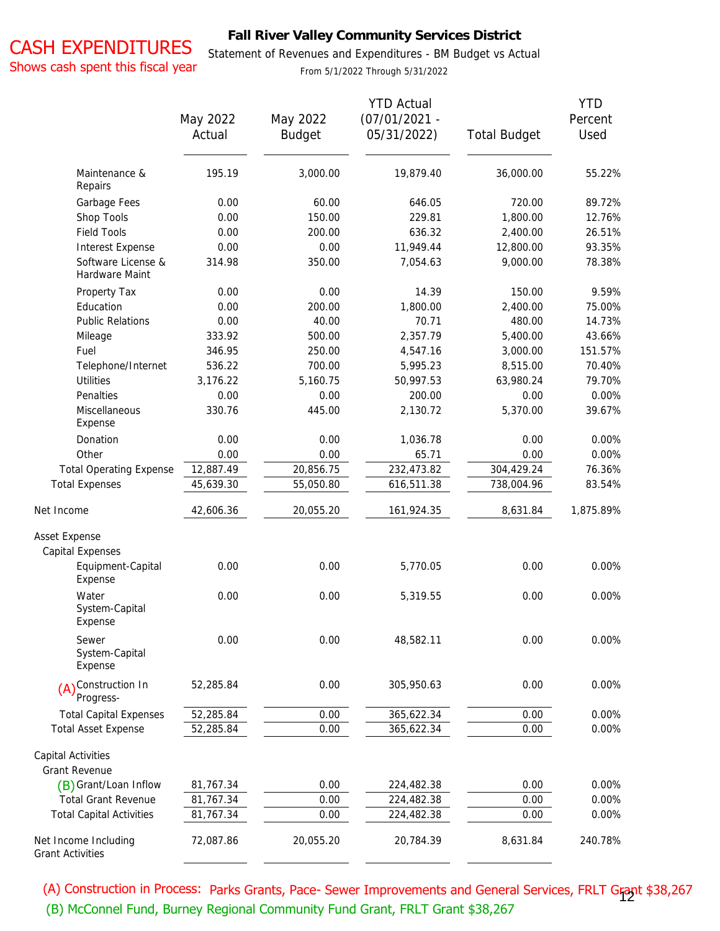# CASH EXPENDITURES

### **Fall River Valley Community Services District**

Statement of Revenues and Expenditures - BM Budget vs Actual

Shows cash spent this fiscal year

From 5/1/2022 Through 5/31/2022

|                                                 | May 2022<br>Actual | May 2022<br><b>Budget</b> | <b>YTD Actual</b><br>$(07/01/2021 -$<br>05/31/2022) | <b>Total Budget</b> | <b>YTD</b><br>Percent<br>Used |
|-------------------------------------------------|--------------------|---------------------------|-----------------------------------------------------|---------------------|-------------------------------|
| Maintenance &<br>Repairs                        | 195.19             | 3,000.00                  | 19,879.40                                           | 36,000.00           | 55.22%                        |
| Garbage Fees                                    | 0.00               | 60.00                     | 646.05                                              | 720.00              | 89.72%                        |
| Shop Tools                                      | 0.00               | 150.00                    | 229.81                                              | 1,800.00            | 12.76%                        |
| <b>Field Tools</b>                              | 0.00               | 200.00                    | 636.32                                              | 2,400.00            | 26.51%                        |
| Interest Expense                                | 0.00               | 0.00                      | 11,949.44                                           | 12,800.00           | 93.35%                        |
| Software License &<br>Hardware Maint            | 314.98             | 350.00                    | 7,054.63                                            | 9,000.00            | 78.38%                        |
| Property Tax                                    | 0.00               | 0.00                      | 14.39                                               | 150.00              | 9.59%                         |
| Education                                       | 0.00               | 200.00                    | 1,800.00                                            | 2,400.00            | 75.00%                        |
| <b>Public Relations</b>                         | 0.00               | 40.00                     | 70.71                                               | 480.00              | 14.73%                        |
| Mileage                                         | 333.92             | 500.00                    | 2,357.79                                            | 5,400.00            | 43.66%                        |
| Fuel                                            | 346.95             | 250.00                    | 4,547.16                                            | 3,000.00            | 151.57%                       |
| Telephone/Internet                              | 536.22             | 700.00                    | 5,995.23                                            | 8,515.00            | 70.40%                        |
| <b>Utilities</b>                                | 3,176.22           | 5,160.75                  | 50,997.53                                           | 63,980.24           | 79.70%                        |
| Penalties                                       | 0.00               | 0.00                      | 200.00                                              | 0.00                | 0.00%                         |
| Miscellaneous<br>Expense                        | 330.76             | 445.00                    | 2,130.72                                            | 5,370.00            | 39.67%                        |
| Donation                                        | 0.00               | 0.00                      | 1,036.78                                            | 0.00                | 0.00%                         |
| Other                                           | 0.00               | 0.00                      | 65.71                                               | 0.00                | 0.00%                         |
| <b>Total Operating Expense</b>                  | 12,887.49          | 20,856.75                 | 232,473.82                                          | 304,429.24          | 76.36%                        |
| <b>Total Expenses</b>                           | 45,639.30          | 55,050.80                 | 616,511.38                                          | 738,004.96          | 83.54%                        |
| Net Income                                      | 42,606.36          | 20,055.20                 | 161,924.35                                          | 8,631.84            | 1,875.89%                     |
| Asset Expense                                   |                    |                           |                                                     |                     |                               |
| Capital Expenses                                |                    |                           |                                                     |                     |                               |
| Equipment-Capital<br>Expense                    | 0.00               | 0.00                      | 5,770.05                                            | 0.00                | 0.00%                         |
| Water<br>System-Capital<br>Expense              | 0.00               | 0.00                      | 5,319.55                                            | 0.00                | 0.00%                         |
| Sewer<br>System-Capital<br>Expense              | 0.00               | 0.00                      | 48,582.11                                           | 0.00                | 0.00%                         |
| (A) <sup>Construction</sup> In<br>Progress-     | 52,285.84          | 0.00                      | 305,950.63                                          | 0.00                | 0.00%                         |
| <b>Total Capital Expenses</b>                   | 52,285.84          | 0.00                      | 365,622.34                                          | 0.00                | 0.00%                         |
| <b>Total Asset Expense</b>                      | 52,285.84          | 0.00                      | 365,622.34                                          | 0.00                | 0.00%                         |
| Capital Activities<br><b>Grant Revenue</b>      |                    |                           |                                                     |                     |                               |
| (B) Grant/Loan Inflow                           | 81,767.34          | 0.00                      | 224,482.38                                          | 0.00                | 0.00%                         |
| <b>Total Grant Revenue</b>                      | 81,767.34          | 0.00                      | 224,482.38                                          | 0.00                | 0.00%                         |
| <b>Total Capital Activities</b>                 | 81,767.34          | 0.00                      | 224,482.38                                          | 0.00                | 0.00%                         |
| Net Income Including<br><b>Grant Activities</b> | 72,087.86          | 20,055.20                 | 20,784.39                                           | 8,631.84            | 240.78%                       |

(A) Construction in Process: Parks Grants, Pace- Sewer Improvements and General Services, FRLT Grant \$38,267 12(B) McConnel Fund, Burney Regional Community Fund Grant, FRLT Grant \$38,267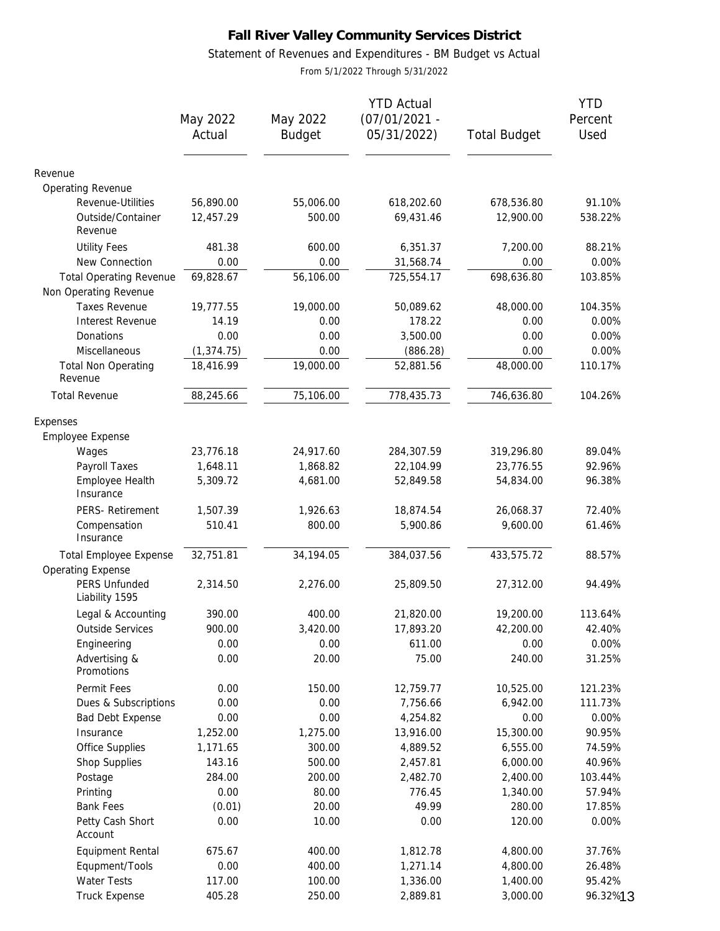### Statement of Revenues and Expenditures - BM Budget vs Actual

From 5/1/2022 Through 5/31/2022

|                                                         | May 2022<br>Actual | May 2022<br><b>Budget</b> | <b>YTD Actual</b><br>$(07/01/2021 -$<br>05/31/2022) | <b>Total Budget</b> | <b>YTD</b><br>Percent<br>Used |
|---------------------------------------------------------|--------------------|---------------------------|-----------------------------------------------------|---------------------|-------------------------------|
| Revenue                                                 |                    |                           |                                                     |                     |                               |
| Operating Revenue                                       |                    |                           |                                                     |                     |                               |
| Revenue-Utilities                                       | 56,890.00          | 55,006.00                 | 618,202.60                                          | 678,536.80          | 91.10%                        |
| Outside/Container<br>Revenue                            | 12,457.29          | 500.00                    | 69,431.46                                           | 12,900.00           | 538.22%                       |
| <b>Utility Fees</b><br>New Connection                   | 481.38<br>0.00     | 600.00<br>0.00            | 6,351.37<br>31,568.74                               | 7,200.00<br>0.00    | 88.21%<br>0.00%               |
| <b>Total Operating Revenue</b><br>Non Operating Revenue | 69,828.67          | 56,106.00                 | 725,554.17                                          | 698,636.80          | 103.85%                       |
| <b>Taxes Revenue</b>                                    | 19,777.55          | 19,000.00                 | 50,089.62                                           | 48,000.00           | 104.35%                       |
| Interest Revenue                                        | 14.19              | 0.00                      | 178.22                                              | 0.00                | 0.00%                         |
| Donations                                               | 0.00               | 0.00                      | 3,500.00                                            | 0.00                | 0.00%                         |
| Miscellaneous                                           | (1, 374.75)        | 0.00                      | (886.28)                                            | 0.00                | 0.00%                         |
| <b>Total Non Operating</b><br>Revenue                   | 18,416.99          | 19,000.00                 | 52,881.56                                           | 48,000.00           | 110.17%                       |
| <b>Total Revenue</b>                                    | 88,245.66          | 75,106.00                 | 778,435.73                                          | 746,636.80          | 104.26%                       |
| Expenses                                                |                    |                           |                                                     |                     |                               |
| Employee Expense                                        |                    |                           |                                                     |                     |                               |
| Wages                                                   | 23,776.18          | 24,917.60                 | 284,307.59                                          | 319,296.80          | 89.04%                        |
| Payroll Taxes                                           | 1,648.11           | 1,868.82                  | 22,104.99                                           | 23,776.55           | 92.96%                        |
| Employee Health<br>Insurance                            | 5,309.72           | 4,681.00                  | 52,849.58                                           | 54,834.00           | 96.38%                        |
| PERS- Retirement                                        | 1,507.39           | 1,926.63                  | 18,874.54                                           | 26,068.37           | 72.40%                        |
| Compensation<br>Insurance                               | 510.41             | 800.00                    | 5,900.86                                            | 9,600.00            | 61.46%                        |
| Total Employee Expense<br><b>Operating Expense</b>      | 32,751.81          | 34,194.05                 | 384,037.56                                          | 433,575.72          | 88.57%                        |
| PERS Unfunded<br>Liability 1595                         | 2,314.50           | 2,276.00                  | 25,809.50                                           | 27,312.00           | 94.49%                        |
| Legal & Accounting                                      | 390.00             | 400.00                    | 21,820.00                                           | 19,200.00           | 113.64%                       |
| <b>Outside Services</b>                                 | 900.00             | 3,420.00                  | 17,893.20                                           | 42,200.00           | 42.40%                        |
| Engineering                                             | 0.00               | 0.00                      | 611.00                                              | 0.00                | 0.00%                         |
| Advertising &<br>Promotions                             | 0.00               | 20.00                     | 75.00                                               | 240.00              | 31.25%                        |
| Permit Fees                                             | 0.00               | 150.00                    | 12,759.77                                           | 10,525.00           | 121.23%                       |
| Dues & Subscriptions                                    | 0.00               | 0.00                      | 7,756.66                                            | 6,942.00            | 111.73%                       |
| Bad Debt Expense                                        | 0.00               | 0.00                      | 4,254.82                                            | 0.00                | 0.00%                         |
| Insurance                                               | 1,252.00           | 1,275.00                  | 13,916.00                                           | 15,300.00           | 90.95%                        |
| Office Supplies                                         | 1,171.65           | 300.00                    | 4,889.52                                            | 6,555.00            | 74.59%                        |
| Shop Supplies                                           | 143.16             | 500.00                    | 2,457.81                                            | 6,000.00            | 40.96%                        |
| Postage                                                 | 284.00             | 200.00                    | 2,482.70                                            | 2,400.00            | 103.44%                       |
| Printing                                                | 0.00               | 80.00                     | 776.45                                              | 1,340.00            | 57.94%                        |
| <b>Bank Fees</b>                                        | (0.01)             | 20.00                     | 49.99                                               | 280.00              | 17.85%                        |
| Petty Cash Short<br>Account                             | 0.00               | 10.00                     | 0.00                                                | 120.00              | 0.00%                         |
| <b>Equipment Rental</b>                                 | 675.67             | 400.00                    | 1,812.78                                            | 4,800.00            | 37.76%                        |
| Equpment/Tools                                          | 0.00               | 400.00                    | 1,271.14                                            | 4,800.00            | 26.48%                        |
| Water Tests                                             | 117.00             | 100.00                    | 1,336.00                                            | 1,400.00            | 95.42%                        |
| <b>Truck Expense</b>                                    | 405.28             | 250.00                    | 2,889.81                                            | 3,000.00            | 96.32%13                      |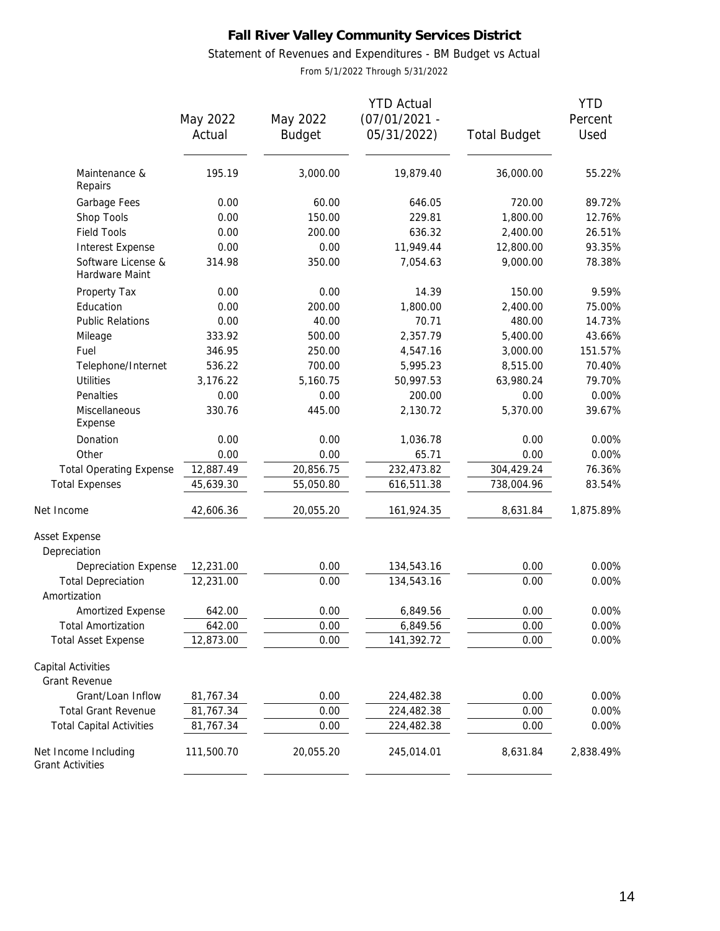Statement of Revenues and Expenditures - BM Budget vs Actual

From 5/1/2022 Through 5/31/2022

|                                                 |            |               | <b>YTD Actual</b> |                     | <b>YTD</b> |
|-------------------------------------------------|------------|---------------|-------------------|---------------------|------------|
|                                                 | May 2022   | May 2022      | $(07/01/2021 -$   |                     | Percent    |
|                                                 | Actual     | <b>Budget</b> | 05/31/2022)       | <b>Total Budget</b> | Used       |
| Maintenance &                                   | 195.19     | 3,000.00      | 19,879.40         | 36,000.00           | 55.22%     |
| Repairs                                         |            |               |                   |                     |            |
| Garbage Fees                                    | 0.00       | 60.00         | 646.05            | 720.00              | 89.72%     |
| Shop Tools                                      | 0.00       | 150.00        | 229.81            | 1,800.00            | 12.76%     |
| <b>Field Tools</b>                              | 0.00       | 200.00        | 636.32            | 2,400.00            | 26.51%     |
| Interest Expense                                | 0.00       | 0.00          | 11,949.44         | 12,800.00           | 93.35%     |
| Software License &<br>Hardware Maint            | 314.98     | 350.00        | 7,054.63          | 9,000.00            | 78.38%     |
| Property Tax                                    | 0.00       | 0.00          | 14.39             | 150.00              | 9.59%      |
| Education                                       | 0.00       | 200.00        | 1,800.00          | 2,400.00            | 75.00%     |
| <b>Public Relations</b>                         | 0.00       | 40.00         | 70.71             | 480.00              | 14.73%     |
| Mileage                                         | 333.92     | 500.00        | 2,357.79          | 5,400.00            | 43.66%     |
| Fuel                                            | 346.95     | 250.00        | 4,547.16          | 3,000.00            | 151.57%    |
| Telephone/Internet                              | 536.22     | 700.00        | 5,995.23          | 8,515.00            | 70.40%     |
| <b>Utilities</b>                                | 3,176.22   | 5,160.75      | 50,997.53         | 63,980.24           | 79.70%     |
| Penalties                                       | 0.00       | 0.00          | 200.00            | 0.00                | 0.00%      |
| Miscellaneous<br>Expense                        | 330.76     | 445.00        | 2,130.72          | 5,370.00            | 39.67%     |
| Donation                                        | 0.00       | 0.00          | 1,036.78          | 0.00                | 0.00%      |
| Other                                           | 0.00       | 0.00          | 65.71             | 0.00                | 0.00%      |
| <b>Total Operating Expense</b>                  | 12,887.49  | 20,856.75     | 232,473.82        | 304,429.24          | 76.36%     |
| <b>Total Expenses</b>                           | 45,639.30  | 55,050.80     | 616,511.38        | 738,004.96          | 83.54%     |
| Net Income                                      | 42,606.36  | 20,055.20     | 161,924.35        | 8,631.84            | 1,875.89%  |
| Asset Expense                                   |            |               |                   |                     |            |
| Depreciation                                    |            |               |                   |                     |            |
| Depreciation Expense                            | 12,231.00  | 0.00          | 134,543.16        | 0.00                | 0.00%      |
| <b>Total Depreciation</b><br>Amortization       | 12,231.00  | 0.00          | 134,543.16        | 0.00                | 0.00%      |
| Amortized Expense                               | 642.00     | 0.00          | 6,849.56          | 0.00                | 0.00%      |
| <b>Total Amortization</b>                       | 642.00     | 0.00          | 6,849.56          | 0.00                | $0.00\%$   |
| <b>Total Asset Expense</b>                      | 12,873.00  | 0.00          | 141,392.72        | 0.00                | 0.00%      |
| Capital Activities<br>Grant Revenue             |            |               |                   |                     |            |
| Grant/Loan Inflow                               | 81,767.34  | 0.00          | 224,482.38        | 0.00                | 0.00%      |
| <b>Total Grant Revenue</b>                      | 81,767.34  | 0.00          | 224,482.38        | 0.00                | 0.00%      |
| <b>Total Capital Activities</b>                 | 81,767.34  | 0.00          | 224,482.38        | 0.00                | 0.00%      |
| Net Income Including<br><b>Grant Activities</b> | 111,500.70 | 20,055.20     | 245,014.01        | 8,631.84            | 2,838.49%  |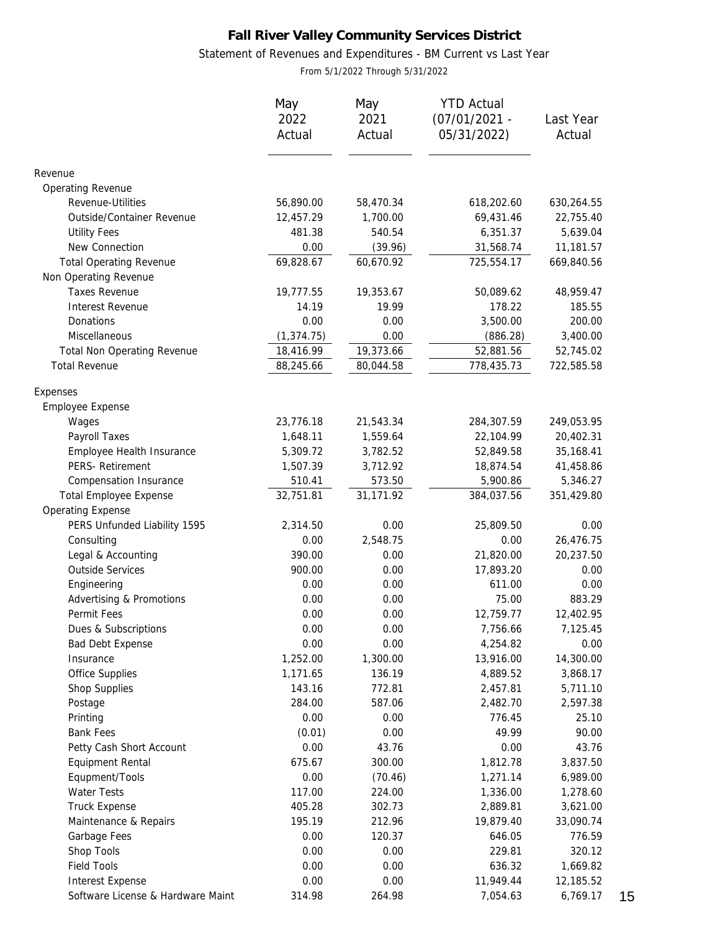### Statement of Revenues and Expenditures - BM Current vs Last Year

From 5/1/2022 Through 5/31/2022

|                                    | May         | May       | <b>YTD Actual</b> |            |
|------------------------------------|-------------|-----------|-------------------|------------|
|                                    | 2022        | 2021      | $(07/01/2021 -$   | Last Year  |
|                                    | Actual      | Actual    | 05/31/2022)       | Actual     |
| Revenue                            |             |           |                   |            |
| Operating Revenue                  |             |           |                   |            |
| Revenue-Utilities                  | 56,890.00   | 58,470.34 | 618,202.60        | 630,264.55 |
| Outside/Container Revenue          | 12,457.29   | 1,700.00  | 69,431.46         | 22,755.40  |
| <b>Utility Fees</b>                | 481.38      | 540.54    | 6,351.37          | 5,639.04   |
| New Connection                     | 0.00        | (39.96)   | 31,568.74         | 11,181.57  |
| <b>Total Operating Revenue</b>     | 69,828.67   | 60,670.92 | 725,554.17        | 669,840.56 |
| Non Operating Revenue              |             |           |                   |            |
| <b>Taxes Revenue</b>               | 19,777.55   | 19,353.67 | 50,089.62         | 48,959.47  |
| Interest Revenue                   | 14.19       | 19.99     | 178.22            | 185.55     |
| Donations                          | 0.00        | 0.00      | 3,500.00          | 200.00     |
| Miscellaneous                      | (1, 374.75) | 0.00      | (886.28)          | 3,400.00   |
| <b>Total Non Operating Revenue</b> | 18,416.99   | 19,373.66 | 52,881.56         | 52,745.02  |
| <b>Total Revenue</b>               | 88,245.66   | 80,044.58 | 778,435.73        | 722,585.58 |
| Expenses                           |             |           |                   |            |
| Employee Expense                   |             |           |                   |            |
| Wages                              | 23,776.18   | 21,543.34 | 284,307.59        | 249,053.95 |
| Payroll Taxes                      | 1,648.11    | 1,559.64  | 22,104.99         | 20,402.31  |
| Employee Health Insurance          | 5,309.72    | 3,782.52  | 52,849.58         | 35,168.41  |
| PERS- Retirement                   | 1,507.39    | 3,712.92  | 18,874.54         | 41,458.86  |
| Compensation Insurance             | 510.41      | 573.50    | 5,900.86          | 5,346.27   |
| <b>Total Employee Expense</b>      | 32,751.81   | 31,171.92 | 384,037.56        | 351,429.80 |
| <b>Operating Expense</b>           |             |           |                   |            |
| PERS Unfunded Liability 1595       | 2,314.50    | 0.00      | 25,809.50         | 0.00       |
| Consulting                         | 0.00        | 2,548.75  | 0.00              | 26,476.75  |
| Legal & Accounting                 | 390.00      | 0.00      | 21,820.00         | 20,237.50  |
| <b>Outside Services</b>            | 900.00      | 0.00      | 17,893.20         | 0.00       |
| Engineering                        | 0.00        | 0.00      | 611.00            | 0.00       |
| Advertising & Promotions           | 0.00        | 0.00      | 75.00             | 883.29     |
| Permit Fees                        | 0.00        | 0.00      | 12,759.77         | 12,402.95  |
| Dues & Subscriptions               | 0.00        | 0.00      | 7,756.66          | 7,125.45   |
| Bad Debt Expense                   | 0.00        | 0.00      | 4,254.82          | 0.00       |
| Insurance                          | 1,252.00    | 1,300.00  | 13,916.00         | 14,300.00  |
| Office Supplies                    | 1,171.65    | 136.19    | 4,889.52          | 3,868.17   |
| Shop Supplies                      | 143.16      | 772.81    | 2,457.81          | 5,711.10   |
| Postage                            | 284.00      | 587.06    | 2,482.70          | 2,597.38   |
| Printing                           | 0.00        | 0.00      | 776.45            | 25.10      |
| <b>Bank Fees</b>                   | (0.01)      | 0.00      | 49.99             | 90.00      |
| Petty Cash Short Account           | 0.00        | 43.76     | 0.00              | 43.76      |
| Equipment Rental                   | 675.67      | 300.00    | 1,812.78          | 3,837.50   |
| Equpment/Tools                     | 0.00        | (70.46)   | 1,271.14          | 6,989.00   |
| Water Tests                        | 117.00      | 224.00    | 1,336.00          | 1,278.60   |
| <b>Truck Expense</b>               | 405.28      | 302.73    | 2,889.81          | 3,621.00   |
| Maintenance & Repairs              | 195.19      | 212.96    | 19,879.40         | 33,090.74  |
| Garbage Fees                       | 0.00        | 120.37    | 646.05            | 776.59     |
| Shop Tools                         | 0.00        | 0.00      | 229.81            | 320.12     |
| <b>Field Tools</b>                 | 0.00        | 0.00      | 636.32            | 1,669.82   |
| Interest Expense                   | 0.00        | 0.00      | 11,949.44         | 12,185.52  |
| Software License & Hardware Maint  | 314.98      | 264.98    | 7,054.63          | 6,769.17   |

15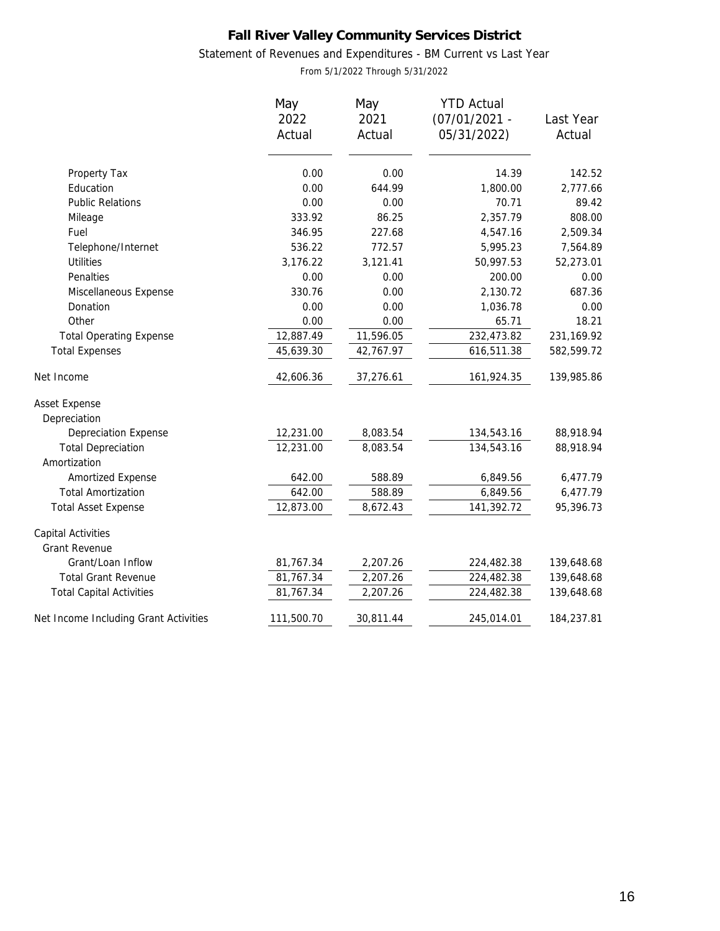### Statement of Revenues and Expenditures - BM Current vs Last Year

From 5/1/2022 Through 5/31/2022

|                                       | May<br>2022<br>Actual | May<br>2021<br>Actual | <b>YTD Actual</b><br>$(07/01/2021 -$<br>05/31/2022) | Last Year<br>Actual |
|---------------------------------------|-----------------------|-----------------------|-----------------------------------------------------|---------------------|
| Property Tax                          | 0.00                  | 0.00                  | 14.39                                               | 142.52              |
| Education                             | 0.00                  | 644.99                | 1,800.00                                            | 2,777.66            |
| <b>Public Relations</b>               | 0.00                  | 0.00                  | 70.71                                               | 89.42               |
| Mileage                               | 333.92                | 86.25                 | 2,357.79                                            | 808.00              |
| Fuel                                  | 346.95                | 227.68                | 4,547.16                                            | 2,509.34            |
| Telephone/Internet                    | 536.22                | 772.57                | 5,995.23                                            | 7,564.89            |
| <b>Utilities</b>                      | 3,176.22              | 3,121.41              | 50,997.53                                           | 52,273.01           |
| Penalties                             | 0.00                  | 0.00                  | 200.00                                              | 0.00                |
| Miscellaneous Expense                 | 330.76                | 0.00                  | 2,130.72                                            | 687.36              |
| Donation                              | 0.00                  | 0.00                  | 1,036.78                                            | 0.00                |
| Other                                 | 0.00                  | 0.00                  | 65.71                                               | 18.21               |
| <b>Total Operating Expense</b>        | 12,887.49             | 11,596.05             | 232,473.82                                          | 231,169.92          |
| <b>Total Expenses</b>                 | 45,639.30             | 42,767.97             | 616,511.38                                          | 582,599.72          |
| Net Income                            | 42,606.36             | 37,276.61             | 161,924.35                                          | 139,985.86          |
| Asset Expense                         |                       |                       |                                                     |                     |
| Depreciation                          |                       |                       |                                                     |                     |
| <b>Depreciation Expense</b>           | 12,231.00             | 8,083.54              | 134,543.16                                          | 88,918.94           |
| <b>Total Depreciation</b>             | 12,231.00             | 8,083.54              | 134,543.16                                          | 88,918.94           |
| Amortization                          |                       |                       |                                                     |                     |
| Amortized Expense                     | 642.00                | 588.89                | 6,849.56                                            | 6,477.79            |
| <b>Total Amortization</b>             | 642.00                | 588.89                | 6,849.56                                            | 6,477.79            |
| <b>Total Asset Expense</b>            | 12,873.00             | 8,672.43              | 141,392.72                                          | 95,396.73           |
| Capital Activities                    |                       |                       |                                                     |                     |
| Grant Revenue                         |                       |                       |                                                     |                     |
| Grant/Loan Inflow                     | 81,767.34             | 2,207.26              | 224,482.38                                          | 139,648.68          |
| <b>Total Grant Revenue</b>            | 81,767.34             | 2,207.26              | 224,482.38                                          | 139,648.68          |
| <b>Total Capital Activities</b>       | 81,767.34             | 2,207.26              | 224,482.38                                          | 139,648.68          |
| Net Income Including Grant Activities | 111,500.70            | 30,811.44             | 245,014.01                                          | 184,237.81          |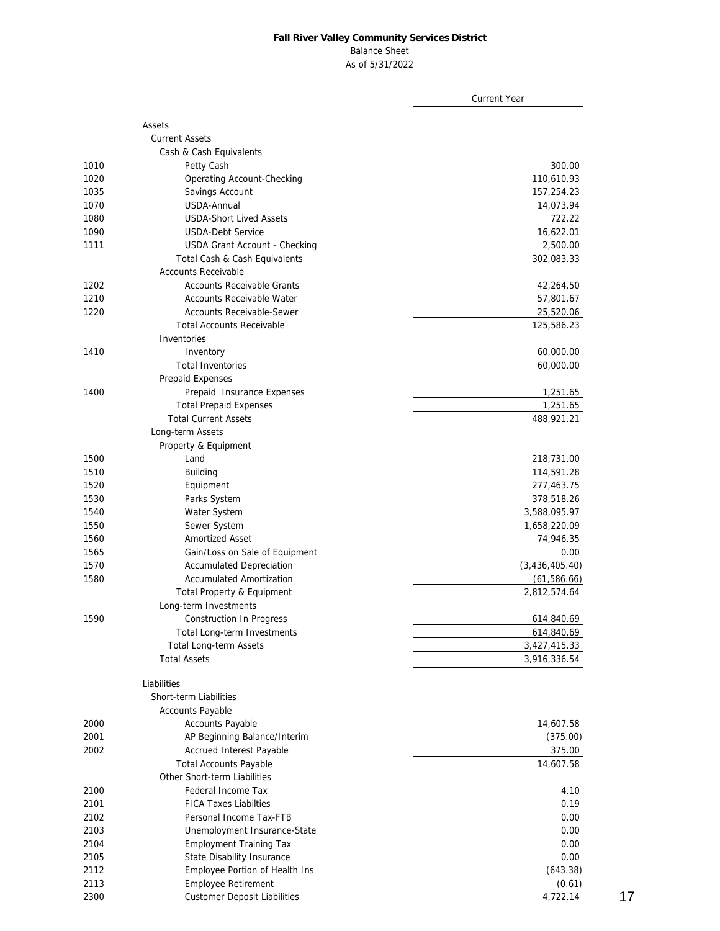#### Balance Sheet

As of 5/31/2022

|      |                                     | <b>Current Year</b> |
|------|-------------------------------------|---------------------|
|      | Assets                              |                     |
|      | <b>Current Assets</b>               |                     |
|      | Cash & Cash Equivalents             |                     |
| 1010 | Petty Cash                          | 300.00              |
| 1020 | Operating Account-Checking          | 110,610.93          |
| 1035 | Savings Account                     | 157,254.23          |
| 1070 | USDA-Annual                         | 14,073.94           |
| 1080 | <b>USDA-Short Lived Assets</b>      | 722.22              |
| 1090 | <b>USDA-Debt Service</b>            | 16,622.01           |
| 1111 | USDA Grant Account - Checking       | 2,500.00            |
|      | Total Cash & Cash Equivalents       | 302,083.33          |
|      | <b>Accounts Receivable</b>          |                     |
| 1202 | <b>Accounts Receivable Grants</b>   | 42,264.50           |
| 1210 | Accounts Receivable Water           | 57,801.67           |
| 1220 | <b>Accounts Receivable-Sewer</b>    | 25,520.06           |
|      | <b>Total Accounts Receivable</b>    | 125,586.23          |
|      | Inventories                         |                     |
| 1410 | Inventory                           | 60,000.00           |
|      | <b>Total Inventories</b>            | 60,000.00           |
|      | Prepaid Expenses                    |                     |
| 1400 | Prepaid Insurance Expenses          | 1,251.65            |
|      | <b>Total Prepaid Expenses</b>       | 1,251.65            |
|      | <b>Total Current Assets</b>         |                     |
|      | Long-term Assets                    | 488,921.21          |
|      |                                     |                     |
|      | Property & Equipment                |                     |
| 1500 | Land                                | 218,731.00          |
| 1510 | <b>Building</b>                     | 114,591.28          |
| 1520 | Equipment                           | 277,463.75          |
| 1530 | Parks System                        | 378,518.26          |
| 1540 | Water System                        | 3,588,095.97        |
| 1550 | Sewer System                        | 1,658,220.09        |
| 1560 | Amortized Asset                     | 74,946.35           |
| 1565 | Gain/Loss on Sale of Equipment      | 0.00                |
| 1570 | <b>Accumulated Depreciation</b>     | (3,436,405.40)      |
| 1580 | <b>Accumulated Amortization</b>     | (61, 586.66)        |
|      | Total Property & Equipment          | 2,812,574.64        |
|      | Long-term Investments               |                     |
| 1590 | <b>Construction In Progress</b>     | 614,840.69          |
|      | Total Long-term Investments         | 614,840.69          |
|      | Total Long-term Assets              | 3,427,415.33        |
|      | <b>Total Assets</b>                 | 3,916,336.54        |
|      | Liabilities                         |                     |
|      | Short-term Liabilities              |                     |
|      | Accounts Payable                    |                     |
| 2000 | Accounts Payable                    | 14,607.58           |
| 2001 | AP Beginning Balance/Interim        | (375.00)            |
| 2002 | Accrued Interest Payable            | 375.00              |
|      | <b>Total Accounts Payable</b>       | 14,607.58           |
|      | Other Short-term Liabilities        |                     |
| 2100 | Federal Income Tax                  | 4.10                |
| 2101 | <b>FICA Taxes Liabilties</b>        | 0.19                |
| 2102 | Personal Income Tax-FTB             | 0.00                |
| 2103 |                                     | 0.00                |
|      | Unemployment Insurance-State        |                     |
| 2104 | <b>Employment Training Tax</b>      | 0.00                |
| 2105 | State Disability Insurance          | 0.00                |
| 2112 | Employee Portion of Health Ins      | (643.38)            |
| 2113 | Employee Retirement                 | (0.61)              |
| 2300 | <b>Customer Deposit Liabilities</b> | 4,722.14            |

17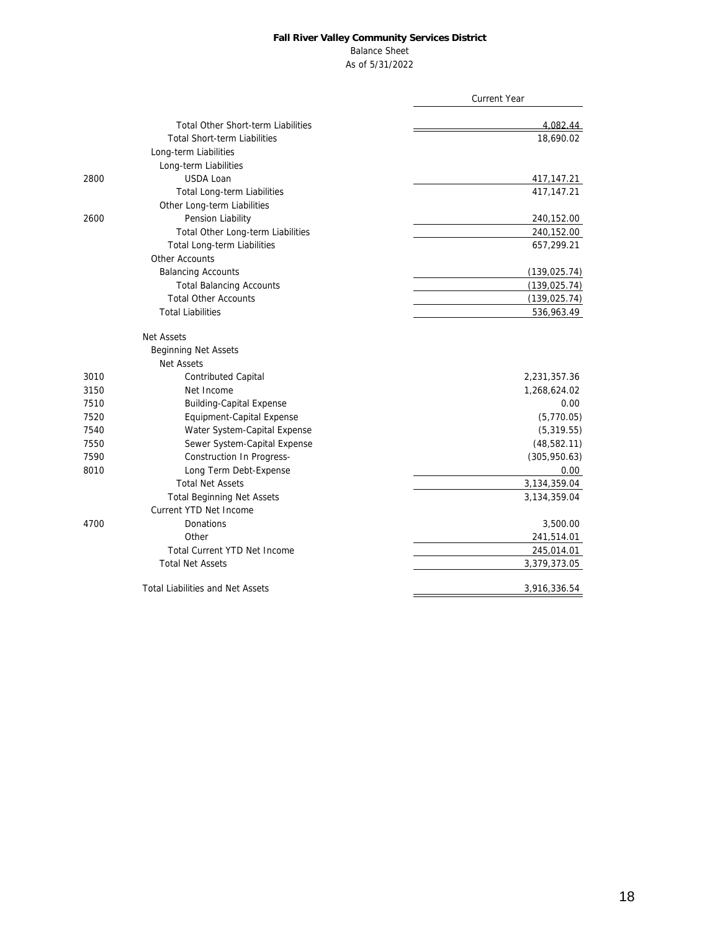### Balance Sheet

As of 5/31/2022

|      |                                           | <b>Current Year</b> |
|------|-------------------------------------------|---------------------|
|      | <b>Total Other Short-term Liabilities</b> | 4,082.44            |
|      | <b>Total Short-term Liabilities</b>       | 18,690.02           |
|      | Long-term Liabilities                     |                     |
|      | Long-term Liabilities                     |                     |
| 2800 | USDA Loan                                 | 417,147.21          |
|      | Total Long-term Liabilities               | 417, 147. 21        |
|      | Other Long-term Liabilities               |                     |
| 2600 | Pension Liability                         | 240,152.00          |
|      | Total Other Long-term Liabilities         | 240,152.00          |
|      | Total Long-term Liabilities               | 657,299.21          |
|      | Other Accounts                            |                     |
|      | <b>Balancing Accounts</b>                 | (139, 025.74)       |
|      | <b>Total Balancing Accounts</b>           | (139, 025.74)       |
|      | <b>Total Other Accounts</b>               | (139, 025.74)       |
|      | <b>Total Liabilities</b>                  | 536,963.49          |
|      | Net Assets                                |                     |
|      | <b>Beginning Net Assets</b>               |                     |
|      | <b>Net Assets</b>                         |                     |
| 3010 | Contributed Capital                       | 2,231,357.36        |
| 3150 | Net Income                                | 1,268,624.02        |
| 7510 | <b>Building-Capital Expense</b>           | 0.00                |
| 7520 | Equipment-Capital Expense                 | (5,770.05)          |
| 7540 | Water System-Capital Expense              | (5,319.55)          |
| 7550 | Sewer System-Capital Expense              | (48, 582.11)        |
| 7590 | Construction In Progress-                 | (305, 950.63)       |
| 8010 | Long Term Debt-Expense                    | 0.00                |
|      | <b>Total Net Assets</b>                   | 3,134,359.04        |
|      | <b>Total Beginning Net Assets</b>         | 3,134,359.04        |
|      | Current YTD Net Income                    |                     |
| 4700 | Donations                                 | 3,500.00            |
|      | Other                                     | 241,514.01          |
|      | Total Current YTD Net Income              | 245,014.01          |
|      | <b>Total Net Assets</b>                   | 3,379,373.05        |
|      | <b>Total Liabilities and Net Assets</b>   | 3,916,336.54        |
|      |                                           |                     |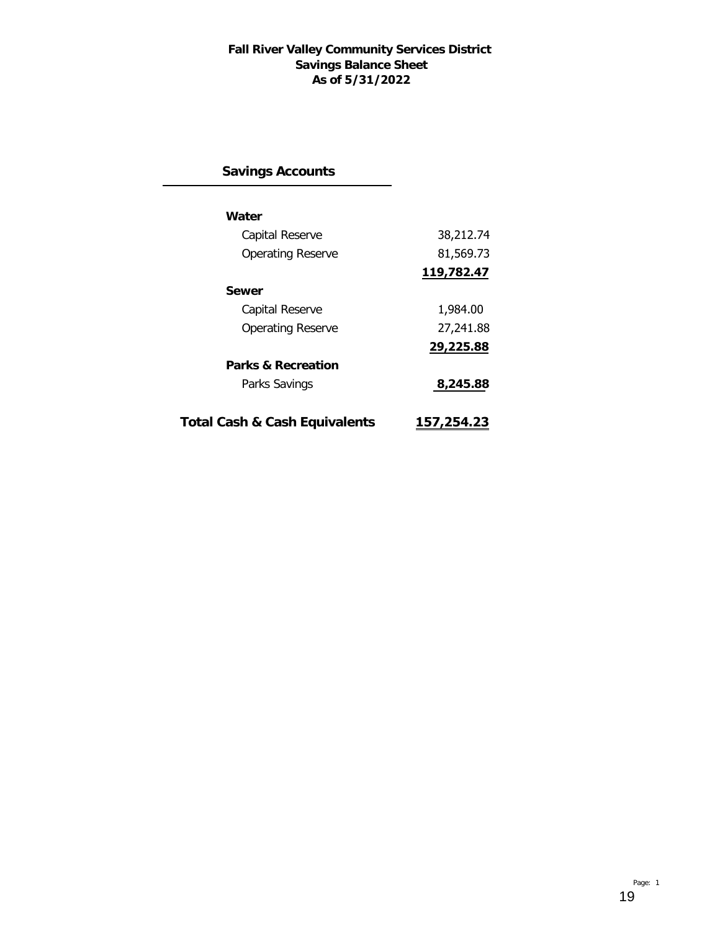### **Fall River Valley Community Services District Savings Balance Sheet As of 5/31/2022**

# **Savings Accounts**

| Water                         |            |
|-------------------------------|------------|
| Capital Reserve               | 38,212.74  |
| <b>Operating Reserve</b>      | 81,569.73  |
|                               | 119,782.47 |
| Sewer                         |            |
| Capital Reserve               | 1,984.00   |
| <b>Operating Reserve</b>      | 27,241.88  |
|                               | 29,225.88  |
| Parks & Recreation            |            |
| Parks Savings                 | 8,245.88   |
|                               |            |
| Total Cash & Cash Equivalents | 157,254.23 |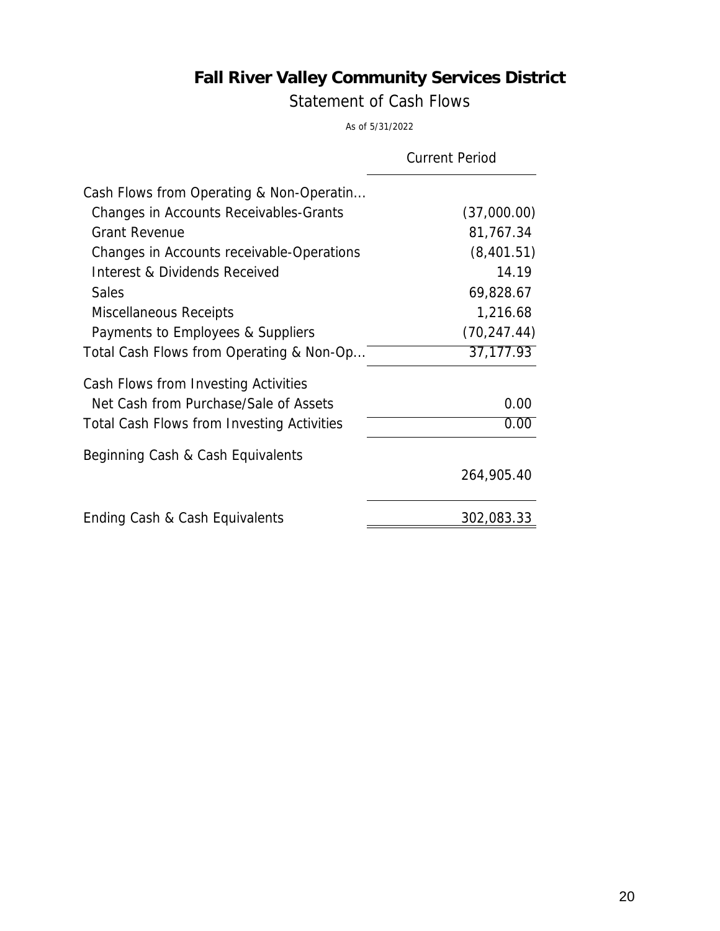Statement of Cash Flows

As of 5/31/2022

|                                                   | <b>Current Period</b> |
|---------------------------------------------------|-----------------------|
| Cash Flows from Operating & Non-Operatin          |                       |
| Changes in Accounts Receivables-Grants            | (37,000.00)           |
| <b>Grant Revenue</b>                              | 81,767.34             |
| Changes in Accounts receivable-Operations         | (8,401.51)            |
| Interest & Dividends Received                     | 14.19                 |
| <b>Sales</b>                                      | 69,828.67             |
| Miscellaneous Receipts                            | 1,216.68              |
| Payments to Employees & Suppliers                 | (70, 247.44)          |
| Total Cash Flows from Operating & Non-Op          | 37, 177. 93           |
| Cash Flows from Investing Activities              |                       |
| Net Cash from Purchase/Sale of Assets             | 0.00                  |
| <b>Total Cash Flows from Investing Activities</b> | 0.00                  |
| Beginning Cash & Cash Equivalents                 |                       |
|                                                   | 264,905.40            |
| Ending Cash & Cash Equivalents                    | 302,083.33            |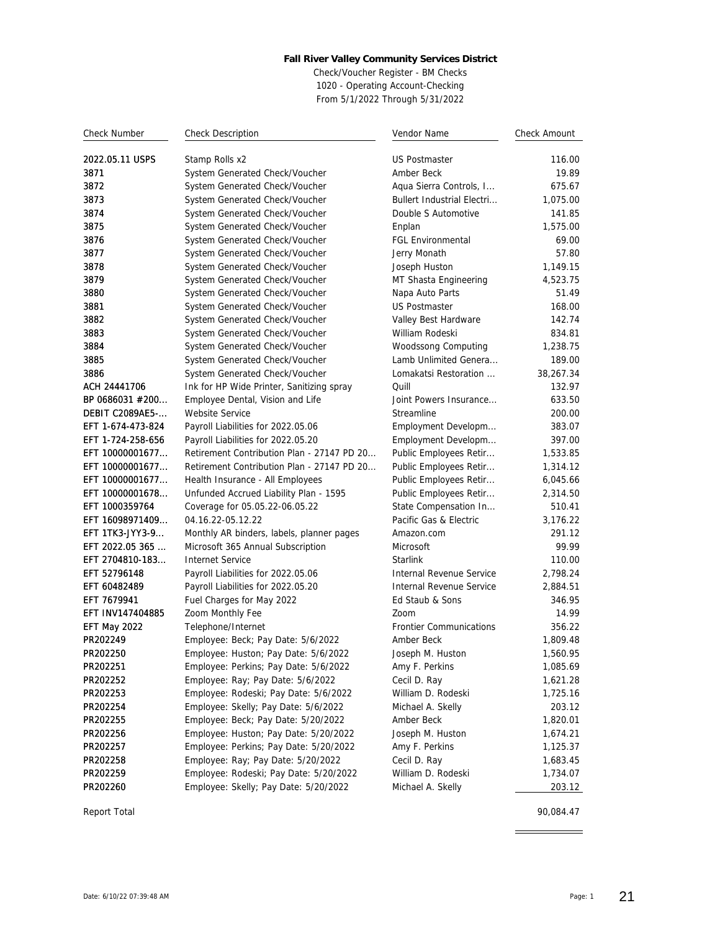Check/Voucher Register - BM Checks 1020 - Operating Account-Checking From 5/1/2022 Through 5/31/2022

| <b>Check Number</b>    | <b>Check Description</b>                   | Vendor Name                       | Check Amount |
|------------------------|--------------------------------------------|-----------------------------------|--------------|
| 2022.05.11 USPS        | Stamp Rolls x2                             | <b>US Postmaster</b>              | 116.00       |
| 3871                   | System Generated Check/Voucher             | Amber Beck                        | 19.89        |
| 3872                   | System Generated Check/Voucher             | Aqua Sierra Controls, I           | 675.67       |
| 3873                   | System Generated Check/Voucher             | <b>Bullert Industrial Electri</b> | 1,075.00     |
| 3874                   | System Generated Check/Voucher             | Double S Automotive               | 141.85       |
| 3875                   | System Generated Check/Voucher             | Enplan                            | 1,575.00     |
| 3876                   | System Generated Check/Voucher             | <b>FGL Environmental</b>          | 69.00        |
| 3877                   | System Generated Check/Voucher             | Jerry Monath                      | 57.80        |
| 3878                   | System Generated Check/Voucher             | Joseph Huston                     | 1,149.15     |
| 3879                   | System Generated Check/Voucher             | MT Shasta Engineering             | 4,523.75     |
| 3880                   | System Generated Check/Voucher             | Napa Auto Parts                   | 51.49        |
| 3881                   | System Generated Check/Voucher             | <b>US Postmaster</b>              | 168.00       |
| 3882                   | System Generated Check/Voucher             | Valley Best Hardware              | 142.74       |
| 3883                   | System Generated Check/Voucher             | William Rodeski                   | 834.81       |
| 3884                   | System Generated Check/Voucher             | Woodssong Computing               | 1,238.75     |
| 3885                   | System Generated Check/Voucher             | Lamb Unlimited Genera             | 189.00       |
| 3886                   | System Generated Check/Voucher             | Lomakatsi Restoration             | 38,267.34    |
| ACH 24441706           | Ink for HP Wide Printer, Sanitizing spray  | Quill                             | 132.97       |
| BP 0686031 #200        | Employee Dental, Vision and Life           | Joint Powers Insurance            | 633.50       |
| <b>DEBIT C2089AE5-</b> | Website Service                            | Streamline                        | 200.00       |
| EFT 1-674-473-824      | Payroll Liabilities for 2022.05.06         | Employment Developm               | 383.07       |
| EFT 1-724-258-656      | Payroll Liabilities for 2022.05.20         | Employment Developm               | 397.00       |
| EFT 10000001677        | Retirement Contribution Plan - 27147 PD 20 | Public Employees Retir            | 1,533.85     |
| EFT 10000001677        | Retirement Contribution Plan - 27147 PD 20 | Public Employees Retir            | 1,314.12     |
| EFT 10000001677        | Health Insurance - All Employees           | Public Employees Retir            | 6,045.66     |
| EFT 10000001678        | Unfunded Accrued Liability Plan - 1595     | Public Employees Retir            | 2,314.50     |
| EFT 1000359764         | Coverage for 05.05.22-06.05.22             | State Compensation In             | 510.41       |
| EFT 16098971409        | 04.16.22-05.12.22                          | Pacific Gas & Electric            | 3,176.22     |
| EFT 1TK3-JYY3-9        | Monthly AR binders, labels, planner pages  | Amazon.com                        | 291.12       |
| EFT 2022.05 365        | Microsoft 365 Annual Subscription          | Microsoft                         | 99.99        |
| EFT 2704810-183        | Internet Service                           | <b>Starlink</b>                   | 110.00       |
| EFT 52796148           | Payroll Liabilities for 2022.05.06         | Internal Revenue Service          | 2,798.24     |
| EFT 60482489           | Payroll Liabilities for 2022.05.20         | Internal Revenue Service          | 2,884.51     |
| EFT 7679941            | Fuel Charges for May 2022                  | Ed Staub & Sons                   | 346.95       |
| EFT INV147404885       | Zoom Monthly Fee                           | Zoom                              | 14.99        |
| EFT May 2022           | Telephone/Internet                         | <b>Frontier Communications</b>    | 356.22       |
| PR202249               | Employee: Beck; Pay Date: 5/6/2022         | Amber Beck                        | 1,809.48     |
| PR202250               | Employee: Huston; Pay Date: 5/6/2022       | Joseph M. Huston                  | 1,560.95     |
| PR202251               | Employee: Perkins; Pay Date: 5/6/2022      | Amy F. Perkins                    | 1,085.69     |
| PR202252               | Employee: Ray; Pay Date: 5/6/2022          | Cecil D. Ray                      | 1,621.28     |
| PR202253               | Employee: Rodeski; Pay Date: 5/6/2022      | William D. Rodeski                | 1,725.16     |
| PR202254               | Employee: Skelly; Pay Date: 5/6/2022       | Michael A. Skelly                 | 203.12       |
| PR202255               | Employee: Beck; Pay Date: 5/20/2022        | Amber Beck                        | 1,820.01     |
| PR202256               | Employee: Huston; Pay Date: 5/20/2022      | Joseph M. Huston                  | 1,674.21     |
| PR202257               | Employee: Perkins; Pay Date: 5/20/2022     | Amy F. Perkins                    | 1,125.37     |
| PR202258               | Employee: Ray; Pay Date: 5/20/2022         | Cecil D. Ray                      | 1,683.45     |
| PR202259               | Employee: Rodeski; Pay Date: 5/20/2022     | William D. Rodeski                | 1,734.07     |
| PR202260               | Employee: Skelly; Pay Date: 5/20/2022      | Michael A. Skelly                 | 203.12       |

Report Total 90,084.47

 $\overline{\phantom{a}}$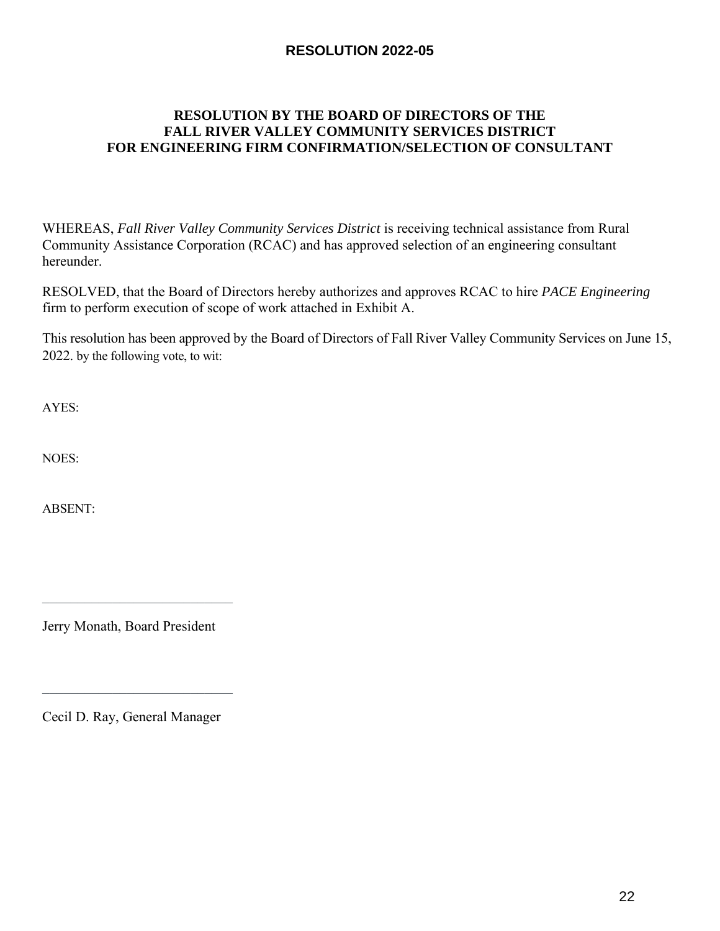### **RESOLUTION 2022-05**

### **RESOLUTION BY THE BOARD OF DIRECTORS OF THE FALL RIVER VALLEY COMMUNITY SERVICES DISTRICT FOR ENGINEERING FIRM CONFIRMATION/SELECTION OF CONSULTANT**

WHEREAS, *Fall River Valley Community Services District* is receiving technical assistance from Rural Community Assistance Corporation (RCAC) and has approved selection of an engineering consultant hereunder.

RESOLVED, that the Board of Directors hereby authorizes and approves RCAC to hire *PACE Engineering* firm to perform execution of scope of work attached in Exhibit A.

This resolution has been approved by the Board of Directors of Fall River Valley Community Services on June 15, 2022. by the following vote, to wit:

AYES:

NOES:

ABSENT:

Jerry Monath, Board President

 $\mathcal{L}_\mathcal{L}$  , which is a set of the set of the set of the set of the set of the set of the set of the set of the set of the set of the set of the set of the set of the set of the set of the set of the set of the set of

Cecil D. Ray, General Manager

 $\mathcal{L}_\text{max}$  and  $\mathcal{L}_\text{max}$  and  $\mathcal{L}_\text{max}$  and  $\mathcal{L}_\text{max}$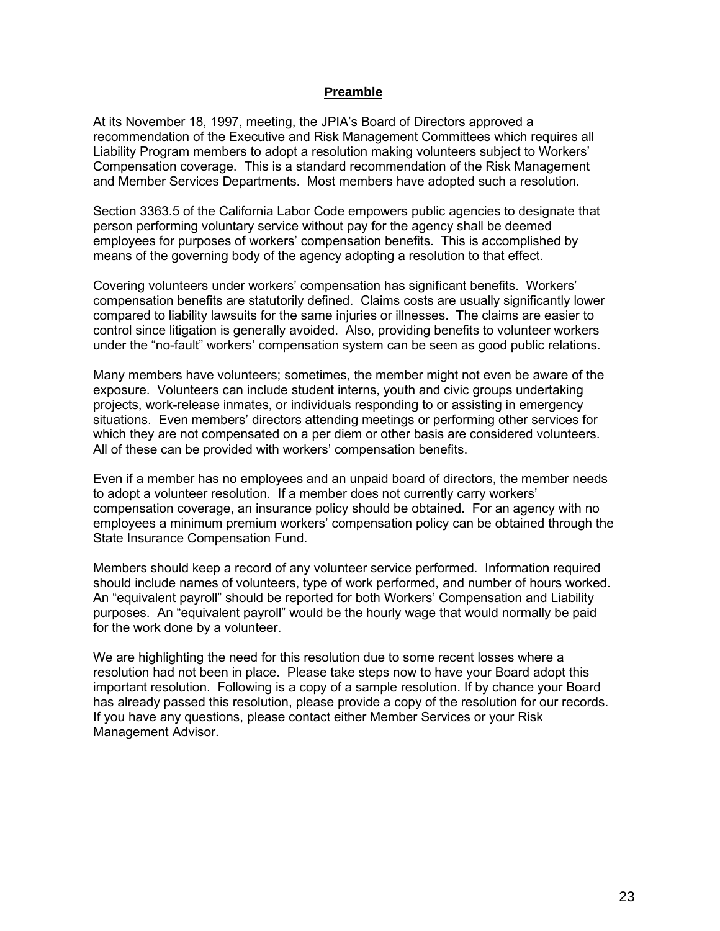#### **Preamble**

At its November 18, 1997, meeting, the JPIA's Board of Directors approved a recommendation of the Executive and Risk Management Committees which requires all Liability Program members to adopt a resolution making volunteers subject to Workers' Compensation coverage. This is a standard recommendation of the Risk Management and Member Services Departments. Most members have adopted such a resolution.

Section 3363.5 of the California Labor Code empowers public agencies to designate that person performing voluntary service without pay for the agency shall be deemed employees for purposes of workers' compensation benefits. This is accomplished by means of the governing body of the agency adopting a resolution to that effect.

Covering volunteers under workers' compensation has significant benefits. Workers' compensation benefits are statutorily defined. Claims costs are usually significantly lower compared to liability lawsuits for the same injuries or illnesses. The claims are easier to control since litigation is generally avoided. Also, providing benefits to volunteer workers under the "no-fault" workers' compensation system can be seen as good public relations.

Many members have volunteers; sometimes, the member might not even be aware of the exposure. Volunteers can include student interns, youth and civic groups undertaking projects, work-release inmates, or individuals responding to or assisting in emergency situations. Even members' directors attending meetings or performing other services for which they are not compensated on a per diem or other basis are considered volunteers. All of these can be provided with workers' compensation benefits.

Even if a member has no employees and an unpaid board of directors, the member needs to adopt a volunteer resolution. If a member does not currently carry workers' compensation coverage, an insurance policy should be obtained. For an agency with no employees a minimum premium workers' compensation policy can be obtained through the State Insurance Compensation Fund.

Members should keep a record of any volunteer service performed. Information required should include names of volunteers, type of work performed, and number of hours worked. An "equivalent payroll" should be reported for both Workers' Compensation and Liability purposes. An "equivalent payroll" would be the hourly wage that would normally be paid for the work done by a volunteer.

We are highlighting the need for this resolution due to some recent losses where a resolution had not been in place. Please take steps now to have your Board adopt this important resolution. Following is a copy of a sample resolution. If by chance your Board has already passed this resolution, please provide a copy of the resolution for our records. If you have any questions, please contact either Member Services or your Risk Management Advisor.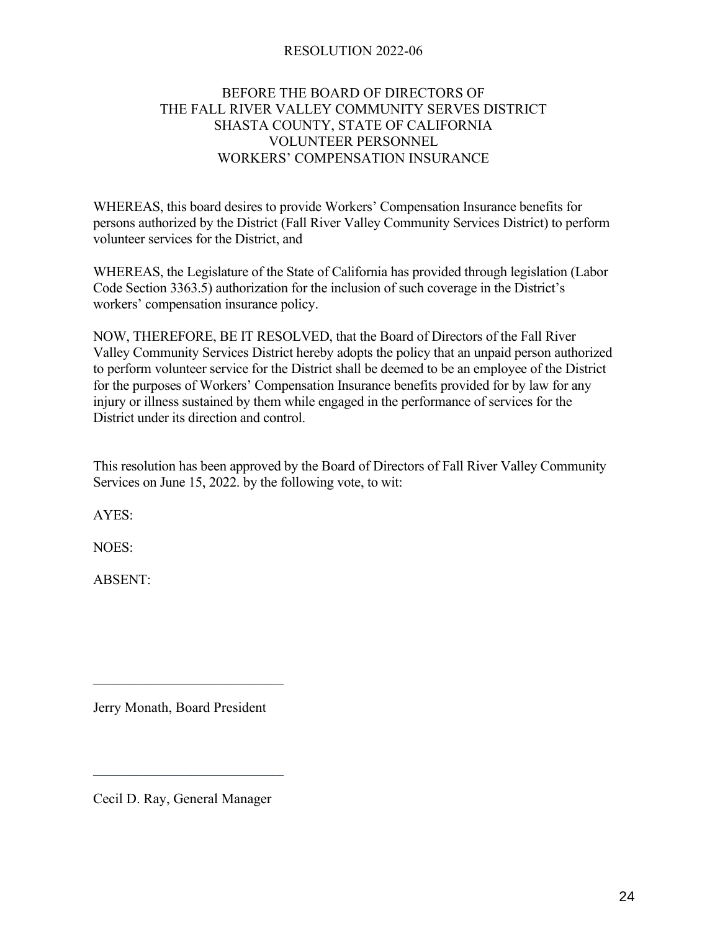### RESOLUTION 2022-06

### BEFORE THE BOARD OF DIRECTORS OF THE FALL RIVER VALLEY COMMUNITY SERVES DISTRICT SHASTA COUNTY, STATE OF CALIFORNIA VOLUNTEER PERSONNEL WORKERS' COMPENSATION INSURANCE

WHEREAS, this board desires to provide Workers' Compensation Insurance benefits for persons authorized by the District (Fall River Valley Community Services District) to perform volunteer services for the District, and

WHEREAS, the Legislature of the State of California has provided through legislation (Labor Code Section 3363.5) authorization for the inclusion of such coverage in the District's workers' compensation insurance policy.

NOW, THEREFORE, BE IT RESOLVED, that the Board of Directors of the Fall River Valley Community Services District hereby adopts the policy that an unpaid person authorized to perform volunteer service for the District shall be deemed to be an employee of the District for the purposes of Workers' Compensation Insurance benefits provided for by law for any injury or illness sustained by them while engaged in the performance of services for the District under its direction and control.

This resolution has been approved by the Board of Directors of Fall River Valley Community Services on June 15, 2022. by the following vote, to wit:

AYES:

NOES:

ABSENT:

Jerry Monath, Board President

 $\mathcal{L}_\mathcal{L}$  , which is a set of the set of the set of the set of the set of the set of the set of the set of the set of the set of the set of the set of the set of the set of the set of the set of the set of the set of

Cecil D. Ray, General Manager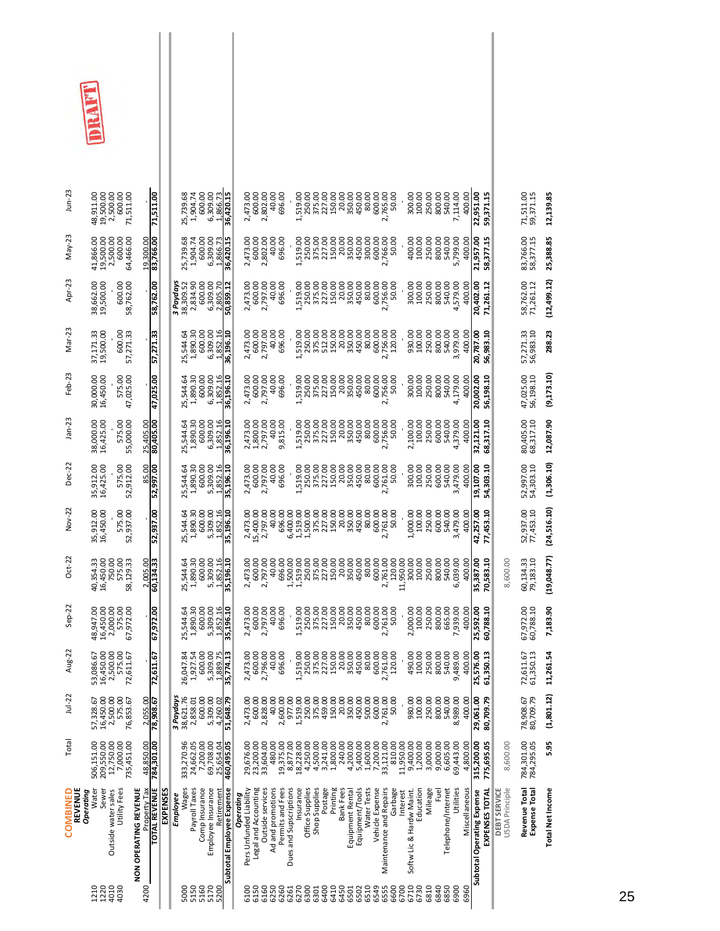| $J$ un-23                        | 48,911.00<br>19,500.00<br>2,500.00<br>600.00<br>71,511.00       |                                       | 71,511.00              |          |           | 25,739.68<br>1,904.74   | 600.00                 | 6,309.00<br>1,866.73             | 36,420.15                 | 2,473.00                             | 600.00<br>2,802.00                       | 40.00             | 696.00                | 1,519.00                            | 250.00          | 375.00<br>227.00         | 150.00   | 20.00            | 350.00                             | 80.00       | 600.00<br>2,765.00                         | 50.00    | 300.00                               | 100.00    | 250.00   | 800.00<br>540.00           | 7,114.00  | 400.00        | 22,951.00<br>59,371.15                       |                                | 71,511.00<br>59,371.15                | 12,139.85               |
|----------------------------------|-----------------------------------------------------------------|---------------------------------------|------------------------|----------|-----------|-------------------------|------------------------|----------------------------------|---------------------------|--------------------------------------|------------------------------------------|-------------------|-----------------------|-------------------------------------|-----------------|--------------------------|----------|------------------|------------------------------------|-------------|--------------------------------------------|----------|--------------------------------------|-----------|----------|----------------------------|-----------|---------------|----------------------------------------------|--------------------------------|---------------------------------------|-------------------------|
| May-23                           | 19,500.00<br>2,500.00<br>600.00<br>41,866.00<br>64,466.00       |                                       | 19,300.00              |          |           | 1,904.74<br>25,739.68   | 600.00                 | 6,309.00<br>1,866.73             | 36,420.15                 | 2,473.00                             | 2,802.00<br>600.00                       | 40.00             | 696.00                | 1,519.00                            | 250.00          | 375.00<br>227.00         | 150.00   | 20.00            | 350.00<br>450.00                   | 300.00      | 600.00<br>2,766.00                         | 50.00    | 400.00                               | 100.00    | 250.00   | 800.00<br>540.00           | 5,799.00  | 400.00        | 58,377.15<br>21,957.00                       |                                | 83,766.00<br>58,377.15                | 25,388.85               |
| Apr-23                           | 600.00<br>38,662.00<br>19,500.00<br>58,762.00                   |                                       | 58,762.00              |          | 3 Paydays | 2,834.90<br>38,309.52   | 600.00                 | 6,309.00<br>2,805.70             | 50,859.12                 | 2,473.00                             | 2,797.00<br>600.00                       | 40.00             | 696.00                | 1,519.00                            | 250.00          | 375.00                   | 150.00   | 20.00            | 350.00                             | 80.00       | 600.00                                     | 2,756.00 | 300.00                               | 100.00    | 250.00   | 800.00<br>540.00           | 4,579.00  | 400.00        | 20,402.00<br>71,261.12                       |                                | 58,762.00<br>71,261.12                | (12, 499.12)            |
| Mar-23                           | 37,171.33<br>19,500.00<br>57,271.33                             |                                       | 57,271.33              |          |           | 1,890.30<br>25,544.64   | 600.00                 | 6,309.00<br>1,852.16             | 36,196.10                 | 2,473.00                             | 2,797.00<br>600.00                       | 40.00<br>696.00   |                       | 519.00                              | 250.00          | 512.00                   | 150.00   | 20.00            | 350.00                             | 80.00       | 600.00                                     | 2,756.00 | 930.00                               | 100.00    | 250.00   | 800.00<br>540.00           | 3,979.00  | 400.00        | 56,983.10<br>20,787.00                       |                                | 57,271.33<br>56,983.10                | 288.23                  |
| Feb-23                           | 575.00<br>47,025.00<br>30,000.00<br>16,450.00                   |                                       | 47,025.00              |          |           | 1,890.30<br>25,544.64   | 600.00                 | 6,309.00<br>1,852.16             | 36,196.10                 | 2,473.00                             | 2,797.00<br>600.00                       | 40.00<br>696.00   |                       | 1,519.00                            | 250.00          | 375.00<br>227.00         | 150.00   | 20.00            | 350.00<br>450.00                   | 80.00       | 600.00                                     | 2,756.00 | 300.00                               | 100.00    | 250.00   | 800.00<br>540.00           | 4,179.00  | 400.00        | 20,002.00<br>56,198.10                       |                                | 47,025.00<br>56,198.10                | (9, 173.10)             |
| $Jan-23$                         | 575.00<br>55,000.00<br>38,000.00<br>16,425.00                   |                                       | 25,405.00<br>80,405.00 |          |           | 25,544.64               | $1,890.30$<br>$600.00$ | 6,309.00<br>1,852.16             | 36,196.10                 | 2,473.00                             | 1,800.00<br>2,797.00                     | 40.00             | 815.00                | 1,519.00                            | 250.00          | 375.00<br>227.00         | 150.00   | 20.00            | 350.00                             | 80.00       | 600.00                                     | 2,756.00 | 2,100.00                             | 100.00    | 250.00   | 600.00<br>540.00           | 4,379.00  | 400.00        | 68,317.10<br>32,121.00                       |                                | 80,405.00<br>68,317.10                | 12,087.90               |
| Dec-22                           | 575.00<br>52,912.00<br>35,912.00<br>16,425.00                   | 85.00                                 | 52,997.00              |          |           | 1,890.30<br>25,544.64   | 600.00                 | 5,309.00<br>,852.16              | 35,196.10                 | 2,473.00                             | 2,797.00<br>600.00                       | 40.00             | 696.00                | 1,519.00                            | 250.00          | 375.00                   | 150.00   | 20.00            | 350.00                             | 80.00       | 600.00<br>2,761.00                         | 50.00    | 300.00                               | 100.00    | 250.00   | 600.00<br>540.00           | 3,479.00  | 400.00        | 19,107.00<br>54,303.10                       |                                | 52,997.00<br>54,303.10                | (1,306.10)              |
| Nov-22                           | 575.00<br>52,937.00<br>35,912.00<br>16,450.00                   |                                       | 52,937.00              |          |           | 25,544.64<br>1,890.30   | 600.00                 | 5,309.00<br>1,852.16             | 35,196.10                 | 2,473.00                             | 15,400.00<br>2,797.00                    | 40.00             | 696.00<br>6,400.00    | 1,519.00                            | 1,500.00        | 375.00                   | 150.00   | 20.00            | 350.00<br>450.00                   | 80.00       | 600.00<br>2,761.00                         | 50.00    | 1,000.00                             | 100.00    | 250.00   | 600.00<br>540.00           | 3,479.00  | 400.00        | 42,257.00<br>77,453.10                       |                                | 52,937.00<br>77,453.10                | (24, 516.10)            |
| $Oct-22$                         | 575.00<br>16,450.00<br>750.00<br>58,129.33<br>40,354.33         | 2,005.00                              | 60,134.33              |          |           | 25,544.64<br>1,890.30   | 600.00                 | 5,309.00<br>1,852.16             | 35,196.10                 | 2,473.00                             | 600.00<br>2,797.00                       | 40.00             | 696.00<br>1,500.00    | 1,519.00                            | 250.00          | 375.00<br>227.00         | 150.00   | 20.00            | 350.00<br>450.00                   | 80.00       | 600.00<br>2,761.00                         | 120.00   | 11,950.00<br>300.00                  | 100.00    | 250.00   | 800.00<br>540.00           | 6,039.00  | 400.00        | 35,387.00<br>70,583.10                       | 8,600.00                       | 60,134.33<br>79,183.10                | (19,048.77)             |
| $Sep-22$                         | 48,947.00<br>16,450.00<br>2,000.00<br>575.00<br>67,972.00       |                                       | 67,972.00              |          |           | 1,890.30<br>25,544.64   | 600.00                 | 5,309.00<br>1,852.16             | 35,196.10                 | 2,473.00                             | 2,797.00<br>600.00                       | 40.00             | 696.00                | 1,519.00                            | 250.00          | 375.00<br>227.00         | 150.00   | 20.00            | 350.00<br>450.00                   | 80.00       | 600.00<br>2,761.00                         | 50.00    | 2,000.00                             | 100.00    | 250.00   | 800.00<br>665.00           | 7,939.00  | 400.00        | 25,592.00<br>60,788.10                       |                                | 67,972.00<br>60,788.10                | 7,183.90                |
| Aug-22                           | 575.00<br>16,450.00<br>2,500.00<br>72,611.67<br>53,086.67       |                                       | 72,611.67              |          |           | 26,047.84               | 1,927.54<br>600.00     | 5,309.00<br>1,889.75             | 35,774.13                 | 2,473.00                             | 2,796.00<br>600.00                       | 40.00             | 696.00                | 1,519.00                            | 250.00          | 375.00<br>227.00         | 150.00   | 20.00            | 450.00<br>350.00                   | 80.00       | 600.00<br>2,761.00                         | 120.00   | 490.00                               | 100.00    | 250.00   | 800.00<br>540.00           | 9,489.00  | 400.00        | 25,576.00<br>61,350.13                       |                                | 61,350.13<br>72,611.67                | 11,261.54               |
| $Jul-22$                         | 2,500.00<br>575.00<br>57,328.67<br>16,450.00<br>76,853.67       | 2,055.00                              | 78,908.67              |          | 3 Paydays | 38,621.76<br>2,858.01   | 600.00                 | 5,309.00<br>4,260.02             | 51,648.79                 | 2,473.00                             | 2,828.00<br>600.OC                       | 40.00             | 2,600.00<br>977.00    | 1,519.00                            | 250.00          | 375.00<br>459.00         | 150.00   | 20.00            | 350.00<br>450.00                   | 500.00      | 600.00<br>2,761.00                         | 50.00    | 980.00                               | 100.00    | 250.00   | 800.00<br>540.00           | 8,989.00  | 400.00        | 80,709.79<br>29,061.00                       |                                | 80,709.79<br>78,908.67                | (1,801.12)              |
| Total                            | 7,000.00<br>12,750.00<br>209,550.00<br>735,451.00<br>506,151.00 | 48,850.00                             | 784,301.00             |          |           | 333,270.96<br>24,662.05 | 7,200.00               | 69,708.00<br>25,654.04           | 460,495.05                | 29,676.00                            | 23,200.00<br>33,604.00                   | 480.00            | 19,375.00<br>8,877.00 | 18,228.00                           | 4,250.00        | 4,500.00<br>3,241.00     | 1,800.00 | 240.00           | 4,200.00<br>5,400.00               | 1,600.00    | 7,200.00<br>33,121.00                      | 810.00   | 11,950.00<br>9,400.00                | 1,200.00  | 3,000.00 | 9,000.00<br>6,605.00       | 69,443.00 | 4,800.00      | 315,200.00<br>775,695.05                     | 8,600.00                       | 784,301.00<br>784,295.05              | 5.95                    |
| REVENUE<br>COMBINED<br>Operating | Utility Fees<br>Water<br>Sewer<br>Outside water sales           | Property Tax<br>NON OPERATING REVENUE | <b>TOTAL REVENUE</b>   | EXPENSES | Employee  | Wages<br>Payroll Taxes  | Comp Insurance         | Employee Insurance<br>Retirement | Subtotal Employee Expense | Pers Unfunded Liability<br>Operating | Legal and Accounting<br>Outside services | Ad and promotions | Permits and Fees      | Dues and Supscriptions<br>Insurance | Office Supplies | Shop Supplies<br>Postage | Printing | <b>Bank Fees</b> | Equipment/Tools<br>Equipment Renta | Water Tests | Vehicle Expense<br>Maintenance and Repairs | Garbage  | Interest<br>Softw Lic & Hardw Maint. | Education | Mileage  | Telephone/Internet<br>Fuel | Utilities | Miscellaneous | EXPENSES TOTAL<br>Subtotal Operating Expense | USDA Principle<br>DEBT SERVICE | Revenue Total<br><b>Expense Total</b> | <b>Total Net Income</b> |
|                                  | 1220<br>4010<br>1210<br>4030                                    | 4200                                  |                        |          |           | 5150<br>5000            | 5160                   | 5170<br>5200                     |                           | 6100                                 | 6160<br>6150                             | 6250              | 6260<br>6261          | 6270                                | 6300            | 6400<br>6301             | 6410     | 6450             | 6502<br>6501                       | 6510        | 6555<br>6549                               | 6600     | 6710<br>6700                         | 6730      | 6810     | 6840<br>6850               | 6900      | 960           |                                              |                                |                                       |                         |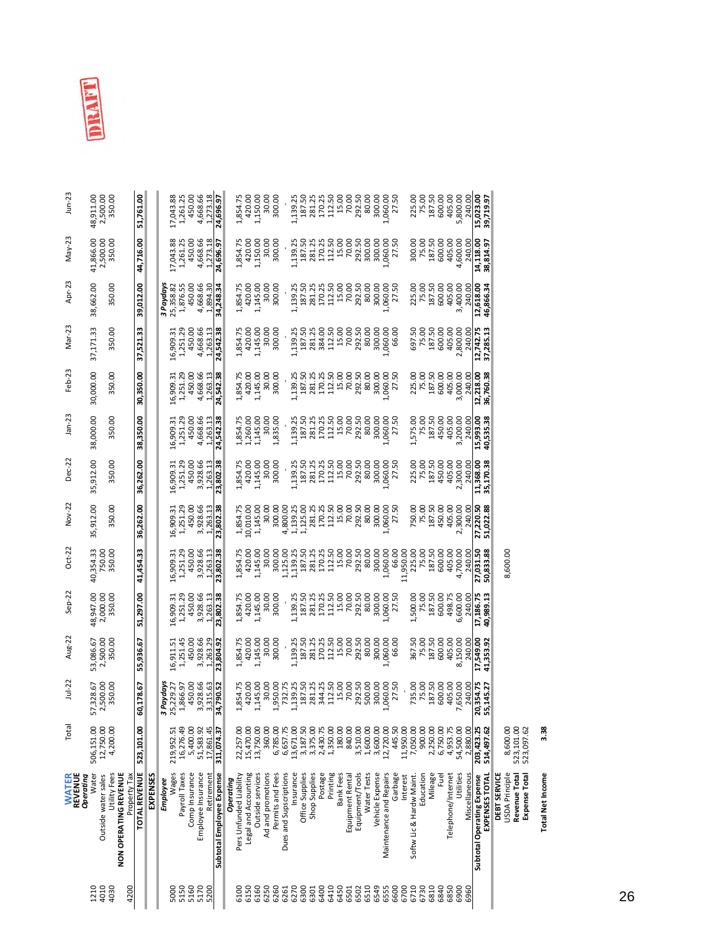

| $J$ un-23                            | 2,500.00<br>48,911.00        | 350.00                                                       | 51,761.00     |          |           | 17,043.88  | 1,261.25      | 450.00         | 4,668.66<br>1,273.18             | 24,696.97                 |           | 1,854.75                | 420.00               | 1,150.00<br>30.00                     | 300.00           |                        | 1,139.25  | 187.50          | 281.25        | 170.25   | 112.50   | 15.00            | 70.00            | 292.50<br>80.00                | 300.00          | 1,060.00                | 27.50   | 225.00                               | 75.00     | 187.50   | 600.00   | 405.00             | 5,800.00  | 240.00        | 15,023.00<br>39,719.97                       |                                                        |                      |                         |
|--------------------------------------|------------------------------|--------------------------------------------------------------|---------------|----------|-----------|------------|---------------|----------------|----------------------------------|---------------------------|-----------|-------------------------|----------------------|---------------------------------------|------------------|------------------------|-----------|-----------------|---------------|----------|----------|------------------|------------------|--------------------------------|-----------------|-------------------------|---------|--------------------------------------|-----------|----------|----------|--------------------|-----------|---------------|----------------------------------------------|--------------------------------------------------------|----------------------|-------------------------|
| May-23                               | 2,500.00<br>41,866.00        | 350.00                                                       | 44,716.00     |          |           | 17,043.88  | 1,261.25      | 450.00         | 4,668.66<br>1,273.18             | 24,696.97                 |           | 1,854.75                | 420.00               | 1,150.00<br>30.00                     | 300.00           |                        | 1,139.25  | 187.50          | 281.25        | 170.25   | 112.50   | 15.00            | 70.00            | 292.50<br>300.00               | 300.00          | 00.090,                 | 27.50   | 300.00                               | 75.00     | 187.50   | 600.00   | 405.00             | 4,600.00  | 240.00        | 14,118.00<br>38,814.97                       |                                                        |                      |                         |
| Apr-23                               | 38,662.00                    | 350.00                                                       | 39,012.00     |          | 3 Paydays | 25,358.82  | 1,876.55      | 450.00         | 4,668.66<br>1,894.30             | 34,248.34                 |           | 1,854.75                | 420.00               | 1,145.00<br>30.00                     | 300.00           |                        | 1,139.25  | 187.50          | 281.25        | 170.25   | 112.50   | 15.00            | 70.00            | 292.50<br>80.00                | 300.00          | ,060.00<br>27.50        |         | 225.00                               | 75.00     | 187.50   | 600.00   | 405.00             | 3,400.00  | 240.00        | 12,618.00<br>46,866.34                       |                                                        |                      |                         |
| Mar-23                               | 37,171.33                    | 350.00                                                       | 37,521.33     |          |           | 16,909.31  | 1,251.29      | 450.00         | 4,668.66<br>1,263.13             | 24,542.38                 |           | 1,854.75                | 420.00               | 1,145.00<br>30.00                     | 300.00           |                        | 1,139.25  | 187.50          | 281.25        | 384.00   | 112.50   | 15.00            | 70.00            | 292.50<br>80.00                | 300.00          | ,060.00                 | 66.00   | 697.50                               | 75.00     | 187.50   | 600.00   | 405.00             | 2,800.00  | 240.00        | 12,742.75<br>37,285.13                       |                                                        |                      |                         |
| Feb-23                               | 30,000.00                    | 350.00                                                       | 30,350.00     |          |           | 16,909.31  | 1,251.29      | 450.00         | 4,668.66<br>1,263.13             | 24,542.38                 |           | 1,854.75                | 420.00               | 1,145.00<br>30.00                     | 300.00           |                        | 1,139.25  | 187.50          | 281.25        | 170.25   | 112.50   | 15.00            | 70.00            | 292.50<br>80.00                | 300.00          | ,060.00                 | 27.50   | 225.00                               | 75.00     | 187.50   | 600.00   | 405.00             | 3,000.00  | 240.00        | 36,760.38<br>12,218.00                       |                                                        |                      |                         |
| $Jan-23$                             | 38,000.00                    | 350.00                                                       | 38,350.00     |          |           | 16,909.31  | 1,251.29      | 450.00         | 4,668.66<br>1,263.13             | 24,542.38                 |           | 1,854.75                | 1,260.00             | 1,145.00<br>30.00                     | 1,835.00         |                        | 1,139.25  | 187.50          | 281.25        | 170.25   | 112.50   | 15.00            | 70.00            | 292.50<br>80.00                | 300.00          | 1,060.00                | 27.50   | 1,575.00                             | 75.00     | 187.50   | 450.00   | 405.00             | 3,200.00  | 240.00        | 15,993.00<br>40,535.38                       |                                                        |                      |                         |
| Dec-22                               | 35,912.00                    | 350.00                                                       | 36,262.00     |          |           | 16,909.31  | 1,251.29      | 450.00         | 3,928.66<br>1,263.13             | 23,802.38                 |           | 1,854.75                | 420.00               | 1,145.00<br>30.00                     | 300.00           |                        | 1,139.25  | 187.50          | 281.25        | 170.25   | 112.50   | 15.00            | 70.00<br>292.50  | 80.00                          | 300.00          | 1,060.00                | 27.50   | 225.00                               | 75.00     | 187.50   | 450.00   | 405.00             | 2,300.00  | 240.00        | 11,368.00<br>35,170.38                       |                                                        |                      |                         |
| Nov-22                               | 35,912.00                    | 350.00                                                       | 36,262.00     |          |           | 16,909.31  | 1,251.29      | 450.00         | 3,928.66<br>1,263.13             | 23,802.38                 |           | 1,854.75                | 10,010.00            | 1,145.00<br>30.00                     | 300.00           | 4,800.00               | 1,139.25  | 1,125.00        | 281.25        | 170.25   | 112.50   | 15.00            | 70.00<br>292.50  | 80.00                          | 300.00          | 1,060.00                | 27.50   | 750.00                               | 75.00     | 187.50   | 450.00   | 405.00             | 2,300.00  | 240.00        | 51,022.88<br>27,220.50                       |                                                        |                      |                         |
| $Oct-22$                             | 40,354.33<br>750.00          | 350.00                                                       | 41,454.33     |          |           | 16,909.31  | 1,251.29      | 450.00         | 3,928.66<br>1,263.13             | 23,802.38                 |           | 1,854.75                | 420.00               | 1,145.00<br>30.00                     | 300.00           | 1,125.00               | 1,139.25  | 187.50          | 281.25        | 170.25   | 112.50   | 15.00            | 70.00            | 292.50<br>80.00                | 300.00          | 1,060.00                | 66.00   | 11,950.00<br>225.00                  | 75.00     | 187.50   | 600.00   | 405.00             | 4,700.00  | 240.00        | 50,833.88<br>27,031.50                       | 8,600.00                                               |                      |                         |
| $Sep-22$                             | 48,947.00<br>2,000.00        | 350.00                                                       | 51,297.00     |          |           | 16,909.31  | 1,251.29      | 450.00         | 3,928.66<br>1,263.13             | 23,802.38                 |           | 1,854.75                | 420.00               | 1,145.00<br>30.00                     | 300.00           |                        | 1,139.25  | 187.50          | 281.25        | 170.25   | 112.50   | 15.00            | 70.00            | 292.50<br>80.00                | 300.00          | 1,060.00                | 27.50   | 1,500.00                             | 75.00     | 187.50   | 600.00   | 498.75             | 6,600.00  | 240.00        | 17,186.75<br>40,989.13                       |                                                        |                      |                         |
| Aug-22                               | 2,500.00<br>53,086.67        | 350.00                                                       | 55,936.67     |          |           | 16,911.51  | 1,251.45      | 450.00         | 3,928.66<br>1,263.29             | 23,804.92                 |           | 1,854.75                | 420.00               | 1,145.00<br>30.00                     | 300.00           |                        | 1,139.25  | 187.50          | 281.25        | 170.25   | 112.50   | 15.00            | 70.00<br>292.50  | 80.00                          | 300.00          | 1,060.00                | 66.00   | 367.50                               | 75.00     | 187.50   | 600.00   | 405.00             | 8,150.00  | 240.00        | 17,549.00<br>41,353.92                       |                                                        |                      |                         |
| $Jul-22$                             | 2,500.00<br>57,328.67        | 350.00                                                       | 60,178.67     |          | 3 Paydays | 25,229.27  | 1,866.97      | 450.00         | 3,928.66<br>3,315.63             | 34,790.52                 |           | 1,854.75                | 420.00               | 1,145.00<br>30.00                     | 00.056           | 732.75                 | 1,139.25  | 187.50          | 281.25        | 344.25   | 112.50   | 15.00            | 70.00            | 292.50<br>500.00               | 300.00          | 1,060.00                | 27.50   | 735.00                               | 75.00     | 187.50   | 600.00   | 405.00             | 7,650.00  | 240.00        | 20,354.75<br>55,145.27                       |                                                        |                      |                         |
| Total                                | 12,750.00<br>506,151.00      | 4,200.00                                                     | 523,101.00    |          |           | 219,952.51 | 16,276.49     | 5,400.00       | 17,861.45<br>51,583.92           | 311,074.37                |           | 22,257.00               | 15,470.00            | 13,750.00<br>360.00                   | 6,785.00         | 6,657.75               | 13,671.00 | 3,187.50        | 3,375.00      | 2,430.75 | 1,350.00 | 180.00           | 840.00           | 3,510.00<br>1,600.00           | 3,600.00        | 12,720.00               | 445.50  | 11,950.00<br>7,050.00                | 900.00    | 2,250.00 | 6,750.00 | 4,953.75           | 54,500.00 | 2,880.00      | 203,423.25<br>514,497.62                     | 8,600.00<br>523,101.00                                 | 523,097.62           | 3.38                    |
| <b>WATER</b><br>REVENUE<br>Operating | Water<br>Outside water sales | <b>NON OPERATING REVENUE</b><br>Utility Fees<br>Property Tax | TOTAL REVENUE | EXPENSES | Employee  | Wages      | Payroll Taxes | Comp Insurance | Employee Insurance<br>Retirement | Subtotal Employee Expense | Operating | Pers Unfunded Liability | Legal and Accounting | Outside services<br>Ad and promotions | Permits and Fees | Dues and Supscriptions | Insurance | Office Supplies | Shop Supplies | Postage  | Printing | <b>Bank Fees</b> | Equipment Rental | Equipment/Tools<br>Water Tests | Vehicle Expense | Maintenance and Repairs | Garbage | Softw Lic & Hardw Maint.<br>Interest | Education | Mileage  | Fuel     | Telephone/Internet | Utilities | Miscellaneous | EXPENSES TOTAL<br>Subtotal Operating Expense | Revenue Total<br>USDA Principle<br><b>DEBT SERVICE</b> | <b>Expense Total</b> | <b>Total Net Income</b> |
|                                      | 4010<br>1210                 | 4200<br>4030                                                 |               |          |           | 5000       | 5150          | 5160           | 5170<br>5200                     |                           |           | 6100                    | 6150                 | 6160<br>6250                          | 6260             | 6261                   | 6270      | 6300            | 6301          | 6400     | 6410     | 6450             | 6502<br>6501     | 6510                           | 6549            | 6555                    | 6600    | 6700<br>6710                         | 6730      | 6810     | 6840     | 6850               | 6900      | 6960          |                                              |                                                        |                      |                         |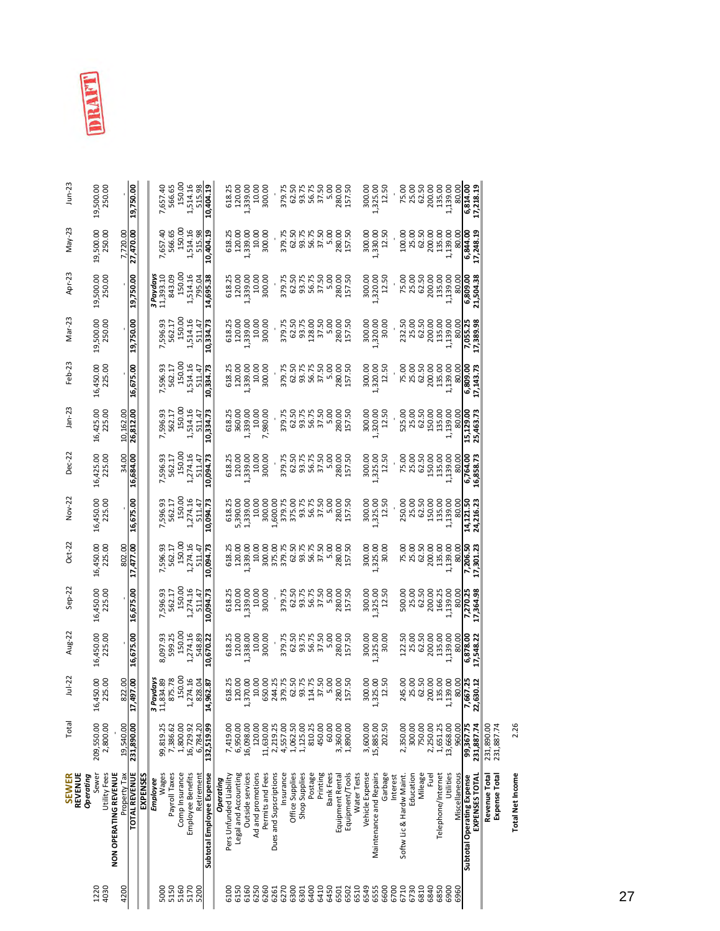| -- |  |
|----|--|
|    |  |

| REVENUE<br>Sewer<br><b>SEWER</b><br>Operating | Total                    | $Jul-22$                            | Aug-22                  | $Sep-22$                | $Oct-22$               | Nov-22                  | Dec-22                  | $Jan-23$               | Feb-23                  | Mar-23                          | Apr-23                  | May-23                  | $J$ un-23             |
|-----------------------------------------------|--------------------------|-------------------------------------|-------------------------|-------------------------|------------------------|-------------------------|-------------------------|------------------------|-------------------------|---------------------------------|-------------------------|-------------------------|-----------------------|
|                                               | 209,550.00<br>2,800.00   | 225.00<br>450.00<br>16 <sub>i</sub> | 16,450.00<br>225.00     | 16,450.00<br>225.00     | 16,450.00<br>225.00    | 16,450.00<br>225.00     | 16,425.00<br>225.00     | 16,425.00<br>225.00    | 16,450.00<br>225.00     | 19,500.00<br>250.00             | 19,500.00<br>250.00     | 19,500.00<br>250.00     | 250.00<br>19,500.00   |
|                                               | 19,540.00                | 822.00                              |                         |                         | 802.00                 |                         | 34.00                   | 10,162.00              |                         |                                 |                         | 7,720.00                |                       |
|                                               | 231,890.00               | 17,497.00                           | 16,675.00               | 16,675.00               | 17,477.00              | 16,675.00               | 16,684.00               | 26,812.00              | 16,675.00               | 19,750.00                       | 19,750.00               | 27,470.00               | 19,750.00             |
|                                               |                          |                                     |                         |                         |                        |                         |                         |                        |                         |                                 |                         |                         |                       |
|                                               |                          | 3 Paydays                           |                         |                         |                        |                         |                         |                        |                         |                                 | 3 Paydays               |                         |                       |
|                                               | 99,819.25                | 11,834.89                           | 8,097.93                | 7,596.93                | 7,596.93<br>562.17     | 7,596.93                | 7,596.93                | 7,596.93               | 7,596.93                | 7,596.93                        | 11,393.10               | 7,657.40                | 7,657.40              |
|                                               | 7,386.62                 | 875.78                              | 599.25                  | 562.17                  |                        | 562.17                  | 562.17                  | 562.17                 | 562.17                  | 562.17                          | 843.09                  | 566.65                  | 566.65                |
|                                               | 1,800.00                 | 150.00                              | 150.00                  | 150.00                  | 150.00                 | 150.0                   | 150.00                  | 150.00                 | 150.00                  | 150.00                          | 150.00                  | 150.00                  | 150.00                |
|                                               | 16,729.92<br>6,784.20    | 274.16<br>828.04<br>$\div$          | 1,274.16<br>548.89      | 1,274.16<br>511.47      | 1,274.16<br>511.47     | 1,274.16<br>511.47      | 1,274.16<br>511.47      | 1,514.16<br>511.47     | 1,514.16<br>511.47      | 1,514.16<br>511.47              | 1,514.16<br>795.04      | 1,514.16<br>515.98      | 1,514.16<br>515.98    |
|                                               | 132,519.99               | 14,962.87                           | 10,670.22               | 10,094.73               | 10,094.73              | 10,094.73               | 10,094.73               | 10,334.73              | 10,334.73               | 10,334.73                       | 14,695.38               | 10,404.19               | 10,404.19             |
|                                               |                          |                                     |                         |                         |                        |                         |                         |                        |                         |                                 |                         |                         |                       |
|                                               | 7,419.00                 | 618.25                              | 618.25                  | 618.25                  | 618.25                 | 618.25                  | 618.25                  | 618.25                 | 618.25                  | 618.25                          | 618.25                  | 618.25                  | 618.25                |
|                                               | 6,950.00                 | 120.00                              | 120.00                  | 120.00                  | 120.00                 | 5,390.00                | 120.00                  | 360.00                 | 120.00                  | 120.00                          | 120.00                  | 120.00                  | 120.00                |
|                                               | 16,098.00                | 1,370.00                            | 00.885,                 | 1,339.00                | ,339.00                | 1,339.00                | 1,339.00                | 1,339.00               | 1,339.00                | 1,339.00                        | , 339.00                | 1,339.00                | 1,339.00              |
|                                               | 120.00                   | 10.00                               | 10.00                   | 10.00                   | 10.00                  | 10.00                   | 10.00                   | 10.00                  | 10.00<br>300.00         | 10.00<br>300.00                 | 10.00                   | 10.00                   | 10.00                 |
|                                               | 11,630.00                | 650.00                              | 300.00                  | 300.00                  | 300.00                 | 300.00                  | 300.00                  | 7,980.00               |                         |                                 | 300.00                  | 300.00                  | 300.00                |
|                                               | 2,219.25                 | 244.25                              |                         |                         |                        | 1,600.00                |                         |                        |                         |                                 |                         |                         |                       |
|                                               | 4,557.00                 | 379.75                              | 379.75                  | 379.75<br>62.50         | 379.75                 | 379.75                  | 379.75                  | 379.75                 | 379.75<br>62.50         | 379.75<br>62.50                 | 379.75                  | 379.75                  | 379.75                |
|                                               | 1,062.50                 |                                     | 62.50                   |                         | 62.50                  | 375.00                  | 62.50                   | 62.50                  |                         |                                 | 62.50                   | 62.50                   | 62.50                 |
|                                               | 1,125.00                 |                                     |                         |                         | 93.75                  |                         |                         | 93.75<br>56.75         |                         |                                 |                         |                         | 93.75<br>56.75        |
|                                               | 810.25                   | 62.50<br>93.75<br>114.75<br>37.50   | 93.75<br>56.75<br>37.50 | 93.75<br>56.75<br>37.50 | 56.75<br>37.50<br>5.00 | 93.75<br>56.75<br>37.50 | 93.75<br>56.75<br>37.50 |                        | 93.75<br>56.75<br>37.50 | 93.75<br>128.00<br>37.50        | 93.75<br>56.75<br>37.50 | 93.75<br>56.75<br>37.50 |                       |
|                                               | 450.00                   |                                     |                         |                         |                        |                         |                         | 37.50                  |                         |                                 |                         |                         | 37.50                 |
|                                               | 60.00                    | 5.00                                | 5.00                    | 5.00                    |                        | 5.00                    | 5.00                    | 5.00                   | 5.00                    | 5.00                            | 5.00                    | 5.00                    | 5.00                  |
|                                               | 3,360.00                 | 280.00                              | 280.00                  | 280.00<br>157.50        | 157.50<br>280.00       | 280.00<br>157.50        | 280.00                  | 280.00                 | 280.00<br>157.50        | 280.00                          | 280.00                  | 280.00<br>157.50        | 280.00                |
|                                               | 1,890.00                 | 157.50                              | 157.50                  |                         |                        |                         |                         |                        |                         |                                 |                         |                         | 157.50                |
|                                               | 3,600.00                 | 300.00                              | 300.00                  | 300.00                  | 300.00                 | 300.00                  | 300.00                  | 300.00                 | 300.00                  | 300.00                          | 300.00                  | 300.00                  | 300.00                |
|                                               | 15,885.00                | 1,325.00                            | ,325.00                 | 1,325.00<br>12.50       | ,325.00<br>30.00       | 1,325.00                | 1,325.00                | 1,320.00               | 1,320.00<br>12.50       | 1,320.00                        | 1,320.00                | 1,330.00                | 1,325.00              |
|                                               | 202.50                   | 12.50                               | 30.00                   |                         |                        | 12.50                   | 12.50                   | 12.50                  |                         | 30.00                           | 12.50                   | 12.50                   | 12.50                 |
|                                               |                          |                                     |                         |                         |                        |                         |                         |                        |                         |                                 |                         |                         |                       |
|                                               | 2,350.00                 | 245.00                              | 122.50                  | 500.00                  | 75.00                  | 250.00                  | 75.00                   | 525.00                 | 75.00                   | 232.50                          | 75.00                   | 100.00                  | 75.00                 |
|                                               | 300.00                   | 25.00<br>62.50<br>200.00            | 25.00                   | 25.00                   | 25.00                  | 25.00                   | 25.00                   | 25.00                  | 25.00                   | 25.00                           | 25.00                   | 25.00                   | 25.00                 |
|                                               | 750.00                   |                                     | 62.50                   | 62.50<br>200.00         | 62.50                  | 62.50<br>150.00         | 62.50                   | 62.50                  | 62.50                   |                                 | 62.50                   | 62.50                   | 62.50                 |
|                                               | 2,250.00                 |                                     | 200.00                  |                         | 200.00                 |                         | 150.00                  | 150.00                 | 200.00                  | $62.50$<br>$200.00$<br>$135.00$ | 200.00                  | 200.00                  | 200.00                |
|                                               | 1,651.25                 | 135.00                              | 135.00                  | 166.25                  | 135.00                 | 135.00                  | 135.00                  | 135.00                 | 135.00                  |                                 | 135.00                  | 135.00                  | 135.00                |
|                                               | 13,668.00                | 139.00<br>$\vec{r}$                 | 1,139.00                | 1,139.00                | 00.651,1.              | 1,139.00                | 1,139.00                | 1,139.00               | 1,139.00                | 1,139.00                        | 1,139.00                | 1,139.00                | 1,139.00              |
|                                               | 960.00                   | 80.00                               | 80.00                   | 80.00                   | 80.00                  | 80.00                   | 80.00                   | 80.00                  | 80.00                   | 80.00                           | 80.00                   | 80.00                   | 80.00                 |
|                                               | 99,367.75<br>231,887.74  | 22,630.12<br>7,667.25               | 17,548.22<br>6,878.00   | 7,270.25<br>17,364.98   | 17,301.23<br>7,206.50  | 24,216.23<br>14,121.50  | 6,764.00<br>16,858.73   | 15,129.00<br>25,463.73 | 17,143.73<br>6,809.00   | 7,055.25<br>17,389.98           | 21,504.38<br>6,809.00   | 17,248.19<br>6,844.00   | 6,814.00<br>17,218.19 |
|                                               | 231,890.00<br>231,887.74 |                                     |                         |                         |                        |                         |                         |                        |                         |                                 |                         |                         |                       |
|                                               |                          |                                     |                         |                         |                        |                         |                         |                        |                         |                                 |                         |                         |                       |

2.26 **Total Net Income** 2.26 **Total Net Income**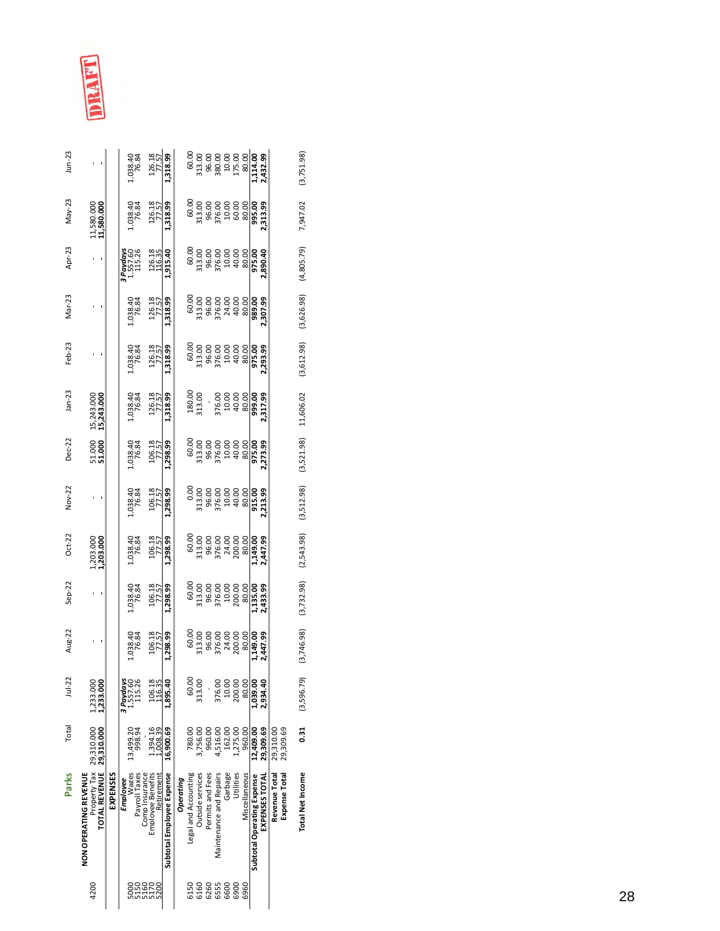| $Jun-23$ |                                                                                |          | 038.40                             | $\begin{array}{r}\n 126.18 \\  \hline\n 77.57 \\  \hline\n 1.318.99\n \end{array}$ |                           |           |                      |                  |                  |                         |         |           |                                                                                                                  |                            |                    |               |               |
|----------|--------------------------------------------------------------------------------|----------|------------------------------------|------------------------------------------------------------------------------------|---------------------------|-----------|----------------------|------------------|------------------|-------------------------|---------|-----------|------------------------------------------------------------------------------------------------------------------|----------------------------|--------------------|---------------|---------------|
| May-23   | 11,580.000<br>11,580.000                                                       |          | 038.40<br>76.84                    | 126.18                                                                             | 1,318.99                  |           |                      |                  |                  |                         |         |           |                                                                                                                  |                            |                    |               |               |
| Apr-23   |                                                                                |          | 1 Paydays<br>1,557.60<br>115.26    | $\frac{126.18}{1.915.40}$                                                          |                           |           |                      |                  |                  |                         |         |           |                                                                                                                  |                            |                    |               |               |
| Mar-23   |                                                                                |          | 1.038.40                           | 126.18<br>77.57                                                                    | 1,318.99                  |           |                      |                  |                  |                         |         |           | 60.00<br>313.00<br>313.00 96.00<br>30.00 99.00<br>40.00 99.00<br>40.00 99.00<br>40.00 99.00                      |                            |                    |               |               |
| Feb-23   |                                                                                |          | 1.038.40<br>76.84                  | 126.18                                                                             | 1,318.99                  |           |                      |                  |                  |                         |         |           |                                                                                                                  |                            |                    |               |               |
| $Jan-23$ | 15,243.000<br>15,243.000                                                       |          | .038.40<br>76.84                   | 126.18<br>77.57                                                                    | ,318.99                   |           |                      |                  |                  |                         |         |           |                                                                                                                  |                            |                    |               |               |
| Dec-22   | 51.000<br>51.000                                                               |          | 1.038.40<br>76.84                  | 106.18                                                                             | 1,298.99                  |           |                      |                  |                  |                         |         |           |                                                                                                                  |                            |                    |               |               |
| Nov-22   |                                                                                |          | .038.40<br>76.84                   | 106.18                                                                             | ,298.99                   |           |                      |                  |                  |                         |         |           |                                                                                                                  |                            |                    |               |               |
| $Oct-22$ | 1,203.000                                                                      |          | 1,038.40<br>76.84                  | 106.18                                                                             | 1,298.99                  |           |                      |                  |                  |                         |         |           | 60.0(<br>313.00<br>313.00 06.03<br>313.00 06.03<br>313.00 06.03<br>31.00 06.03<br>31.00 06.047.99<br>31.00 07.09 |                            |                    |               |               |
| $Sep-22$ |                                                                                |          | .038.40<br>76.84                   | 106.18                                                                             | 1,298.99                  |           |                      |                  |                  |                         |         |           | 60.00<br>313.00<br>96.00<br>90.00<br>200.00<br>200.00                                                            |                            | 135.00<br>2,433.99 |               |               |
| Aug-22   |                                                                                |          | 1,038.40<br>76.84                  | $\frac{106.18}{77.57}$<br>1,298.99                                                 |                           |           |                      |                  |                  |                         |         |           |                                                                                                                  |                            |                    |               |               |
| $Jul-22$ | 1,233.000<br>1,233.000                                                         |          | 3 Paydays<br>1,557.60<br>115.26    | 106.18                                                                             | 1,895.40                  |           | 60.00                | 313.00           |                  | 376.00                  | 10.00   | 200.00    | 80.00                                                                                                            | 1,039.00                   | 2,934.40           |               |               |
| Total    | 29,310.000                                                                     |          | 13,499.20<br>998.94                | ,394.16<br>,008.39                                                                 | 16,900.69                 |           | 780.00               | 3,756.00         | 960.00           | 516.00                  | 162.00  | 1,275.00  | 960.00                                                                                                           | 12,409.00                  | 29,309.69          | 29,310.00     | 29,309.69     |
| Parks    | PropertyTax 29,310.000<br><b>TOTAL REVENUE</b><br><b>NON OPERATING REVENUE</b> | EXPENSES | Wages<br>Payroll Taxes<br>Employee | Comp Insurance<br>Emplovee Benefits<br>Retirement                                  | Subtotal Employee Expense | Operating | Legal and Accounting | Outside services | Permits and Fees | Maintenance and Repairs | Garbage | Utilities | Miscellaneous                                                                                                    | Subtotal Operating Expense | EXPENSES TOTAL     | Revenue Total | Expense Total |
|          | 4200                                                                           |          |                                    | 82888<br>82258                                                                     |                           |           | 6150                 | 6160             | 6260             | 6555                    | 6600    | 6900      | 6960                                                                                                             |                            |                    |               |               |

**Total Net Income 0.31** (3,596.79) (3,746.98) (3,732.98) (2,543.98) (3,512.98) (3,521.98) 11,606.02 (3,612.98) (3,626.98) (4,805.79) 7,947.02 (3,751.98)

Total Net Income 0.31 (3,596.79) (3,746.98) (3,732.98) (3,543.98) (3,521.98) 11,606.02 (3,612.98) (4,805.79) 7,947.02 (3,751.98)